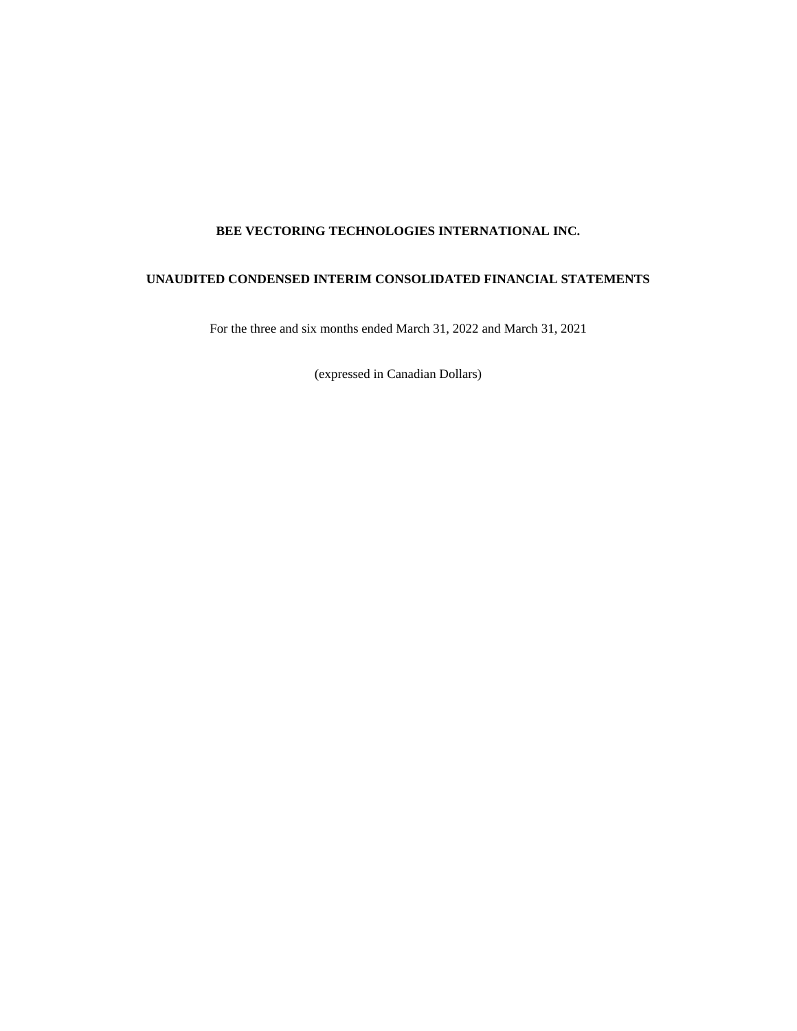# **BEE VECTORING TECHNOLOGIES INTERNATIONAL INC.**

# **UNAUDITED CONDENSED INTERIM CONSOLIDATED FINANCIAL STATEMENTS**

For the three and six months ended March 31, 2022 and March 31, 2021

(expressed in Canadian Dollars)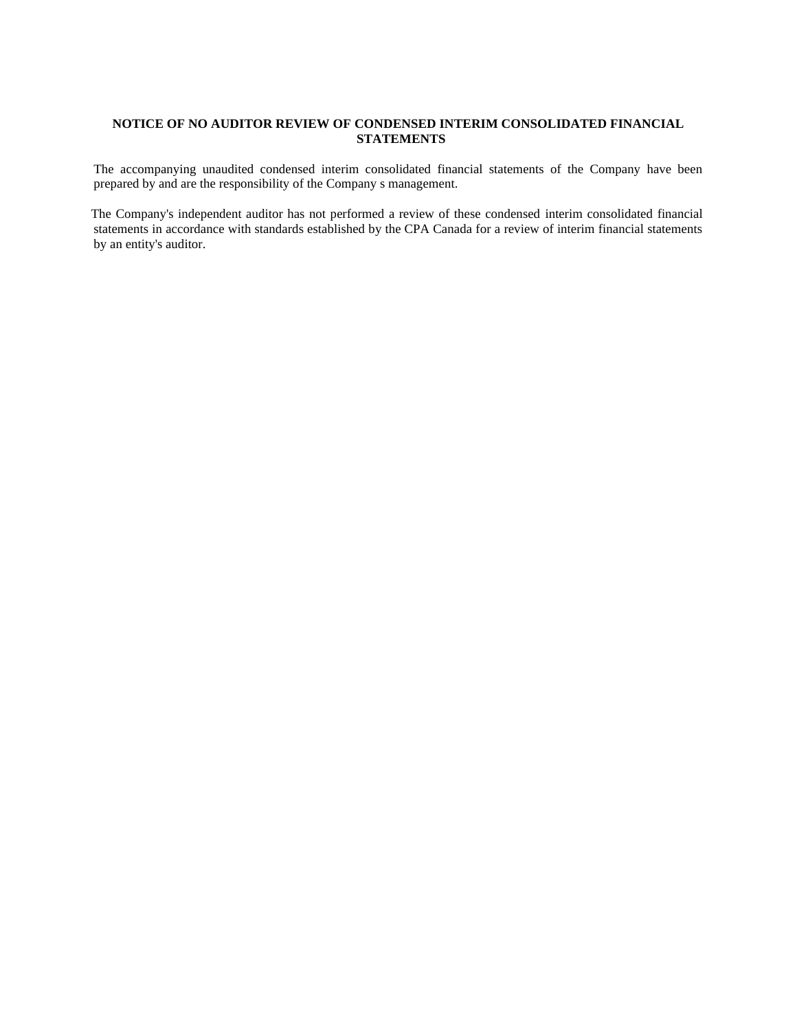## **NOTICE OF NO AUDITOR REVIEW OF CONDENSED INTERIM CONSOLIDATED FINANCIAL STATEMENTS**

The accompanying unaudited condensed interim consolidated financial statements of the Company have been prepared by and are the responsibility of the Company s management.

The Company's independent auditor has not performed a review of these condensed interim consolidated financial statements in accordance with standards established by the CPA Canada for a review of interim financial statements by an entity's auditor.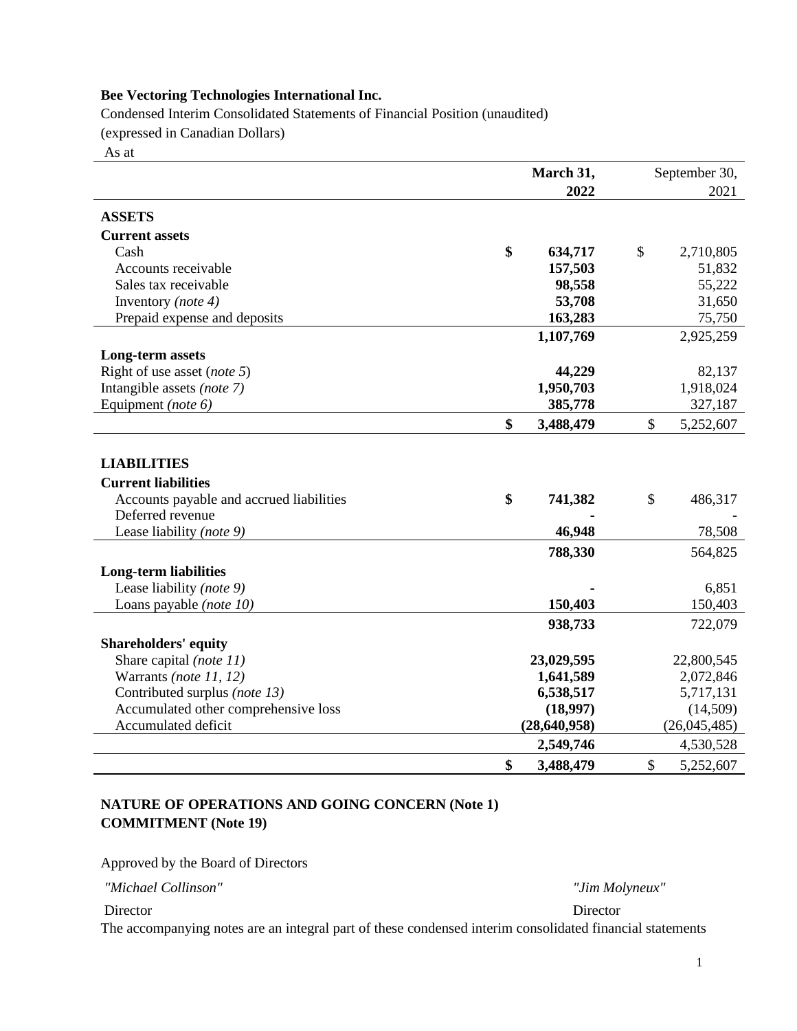Condensed Interim Consolidated Statements of Financial Position (unaudited) (expressed in Canadian Dollars)

As at

|                                                             |    | September 30,              |    |                          |  |
|-------------------------------------------------------------|----|----------------------------|----|--------------------------|--|
|                                                             |    | 2022                       |    | 2021                     |  |
| <b>ASSETS</b>                                               |    |                            |    |                          |  |
| <b>Current assets</b>                                       |    |                            |    |                          |  |
| Cash                                                        | \$ | 634,717                    | \$ | 2,710,805                |  |
| Accounts receivable                                         |    | 157,503                    |    | 51,832                   |  |
| Sales tax receivable                                        |    | 98,558                     |    | 55,222                   |  |
| Inventory (note 4)                                          |    | 53,708                     |    | 31,650                   |  |
| Prepaid expense and deposits                                |    | 163,283                    |    | 75,750                   |  |
|                                                             |    | 1,107,769                  |    | 2,925,259                |  |
| Long-term assets                                            |    |                            |    |                          |  |
| Right of use asset ( <i>note</i> 5)                         |    | 44,229                     |    | 82,137                   |  |
| Intangible assets (note 7)                                  |    | 1,950,703                  |    | 1,918,024                |  |
| Equipment (note 6)                                          |    | 385,778                    |    | 327,187                  |  |
|                                                             | \$ | 3,488,479                  | \$ | 5,252,607                |  |
|                                                             |    |                            |    |                          |  |
| <b>LIABILITIES</b>                                          |    |                            |    |                          |  |
| <b>Current liabilities</b>                                  |    |                            |    |                          |  |
| Accounts payable and accrued liabilities                    | \$ | 741,382                    | \$ | 486,317                  |  |
| Deferred revenue                                            |    |                            |    |                          |  |
| Lease liability (note 9)                                    |    | 46,948                     |    | 78,508                   |  |
|                                                             |    | 788,330                    |    | 564,825                  |  |
| <b>Long-term liabilities</b>                                |    |                            |    |                          |  |
| Lease liability (note 9)                                    |    |                            |    | 6,851                    |  |
| Loans payable (note 10)                                     |    | 150,403                    |    | 150,403                  |  |
|                                                             |    | 938,733                    |    | 722,079                  |  |
|                                                             |    |                            |    |                          |  |
| <b>Shareholders' equity</b>                                 |    |                            |    |                          |  |
| Share capital (note 11)                                     |    | 23,029,595                 |    | 22,800,545               |  |
| Warrants (note 11, 12)                                      |    | 1,641,589                  |    | 2,072,846                |  |
| Contributed surplus (note 13)                               |    | 6,538,517                  |    | 5,717,131                |  |
| Accumulated other comprehensive loss<br>Accumulated deficit |    | (18,997)<br>(28, 640, 958) |    | (14,509)<br>(26,045,485) |  |
|                                                             |    |                            |    |                          |  |
|                                                             |    | 2,549,746                  |    | 4,530,528                |  |
|                                                             | \$ | 3,488,479                  | \$ | 5,252,607                |  |

# **NATURE OF OPERATIONS AND GOING CONCERN (Note 1) COMMITMENT (Note 19)**

Approved by the Board of Directors

*"Michael Collinson" "Jim Molyneux"* 

Director Director **Director** 

The accompanying notes are an integral part of these condensed interim consolidated financial statements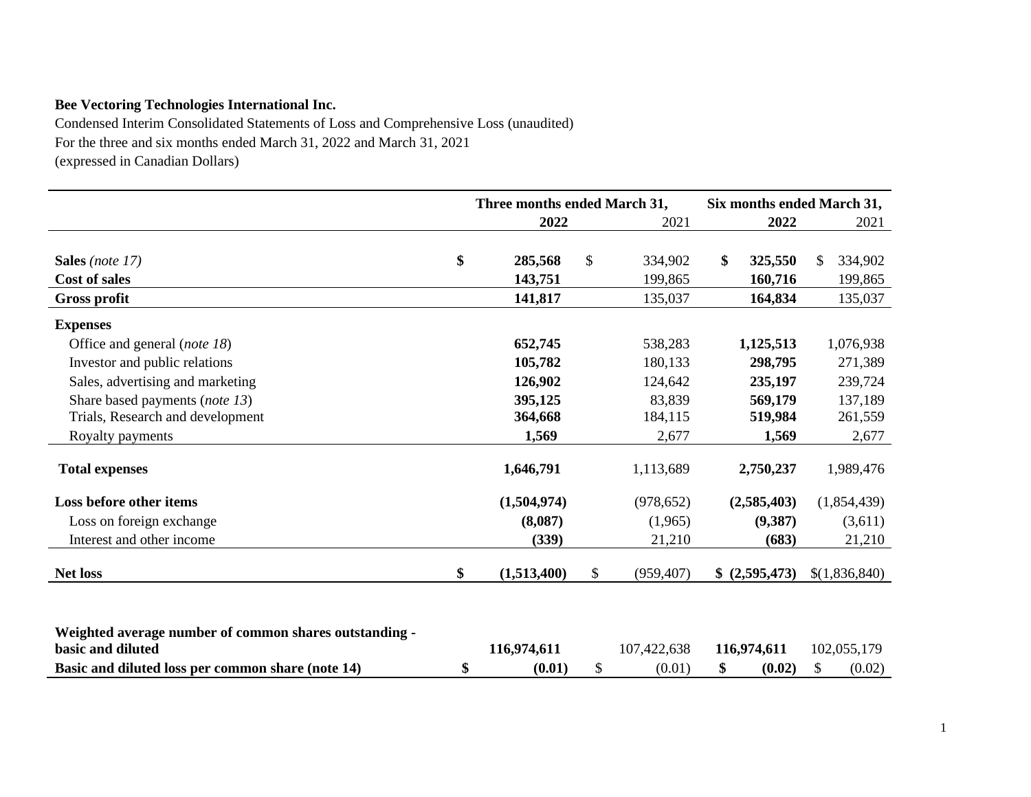Condensed Interim Consolidated Statements of Loss and Comprehensive Loss (unaudited) For the three and six months ended March 31, 2022 and March 31, 2021 (expressed in Canadian Dollars)

|                                                                             | Three months ended March 31, |    |             | Six months ended March 31, |     |               |
|-----------------------------------------------------------------------------|------------------------------|----|-------------|----------------------------|-----|---------------|
|                                                                             | 2022                         |    | 2021        | 2022                       |     | 2021          |
|                                                                             |                              |    |             |                            |     |               |
| Sales (note 17)                                                             | \$<br>285,568                | \$ | 334,902     | \$<br>325,550              | \$. | 334,902       |
| <b>Cost of sales</b>                                                        | 143,751                      |    | 199,865     | 160,716                    |     | 199,865       |
| <b>Gross profit</b>                                                         | 141,817                      |    | 135,037     | 164,834                    |     | 135,037       |
| <b>Expenses</b>                                                             |                              |    |             |                            |     |               |
| Office and general (note 18)                                                | 652,745                      |    | 538,283     | 1,125,513                  |     | 1,076,938     |
| Investor and public relations                                               | 105,782                      |    | 180,133     | 298,795                    |     | 271,389       |
| Sales, advertising and marketing                                            | 126,902                      |    | 124,642     | 235,197                    |     | 239,724       |
| Share based payments (note 13)                                              | 395,125                      |    | 83,839      | 569,179                    |     | 137,189       |
| Trials, Research and development                                            | 364,668                      |    | 184,115     | 519,984                    |     | 261,559       |
| Royalty payments                                                            | 1,569                        |    | 2,677       | 1,569                      |     | 2,677         |
| <b>Total expenses</b>                                                       | 1,646,791                    |    | 1,113,689   | 2,750,237                  |     | 1,989,476     |
| Loss before other items                                                     | (1,504,974)                  |    | (978, 652)  | (2,585,403)                |     | (1,854,439)   |
| Loss on foreign exchange                                                    | (8,087)                      |    | (1,965)     | (9,387)                    |     | (3,611)       |
| Interest and other income                                                   | (339)                        |    | 21,210      | (683)                      |     | 21,210        |
| <b>Net loss</b>                                                             | \$<br>(1,513,400)            | \$ | (959, 407)  | \$ (2,595,473)             |     | \$(1,836,840) |
|                                                                             |                              |    |             |                            |     |               |
| Weighted average number of common shares outstanding -<br>basic and diluted | 116,974,611                  |    | 107,422,638 | 116,974,611                |     | 102,055,179   |
| Basic and diluted loss per common share (note 14)                           | \$<br>(0.01)                 | \$ | (0.01)      | \$<br>(0.02)               | \$  | (0.02)        |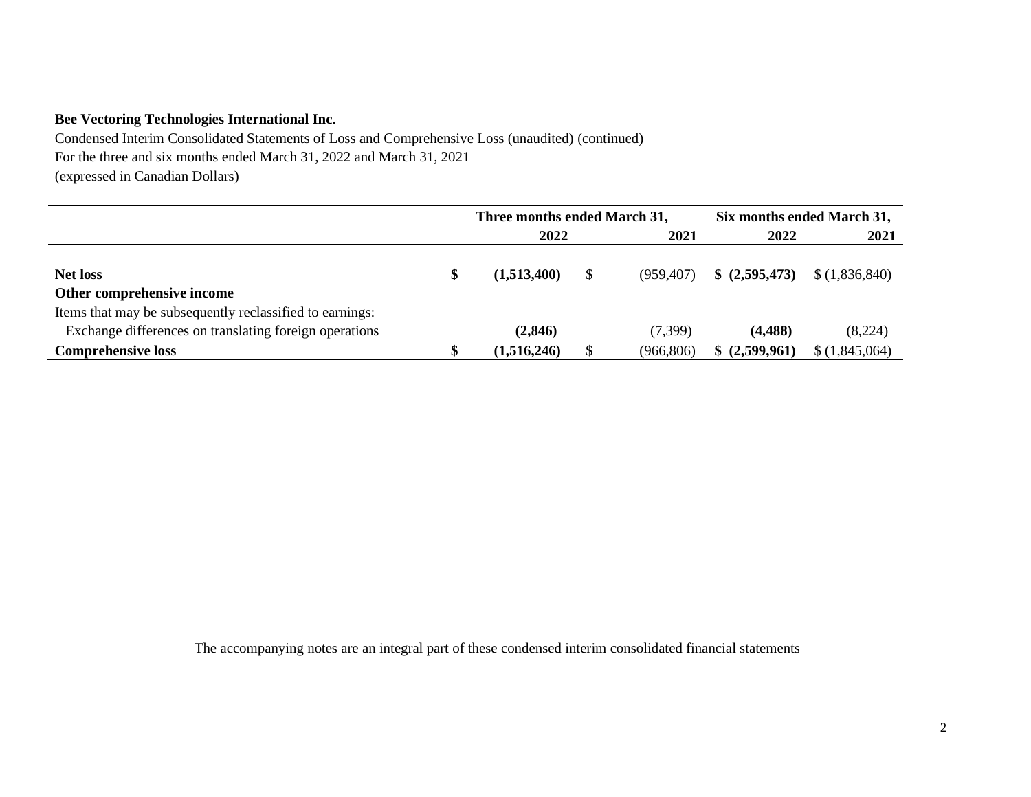Condensed Interim Consolidated Statements of Loss and Comprehensive Loss (unaudited) (continued) For the three and six months ended March 31, 2022 and March 31, 2021 (expressed in Canadian Dollars)

|                                                                                        | Three months ended March 31, |            | Six months ended March 31, |               |
|----------------------------------------------------------------------------------------|------------------------------|------------|----------------------------|---------------|
|                                                                                        | 2022                         | 2021       | 2022                       | 2021          |
| <b>Net loss</b>                                                                        | (1,513,400)                  | (959.407)  | \$(2,595,473)              | \$(1,836,840) |
| Other comprehensive income<br>Items that may be subsequently reclassified to earnings: |                              |            |                            |               |
| Exchange differences on translating foreign operations                                 | (2, 846)                     | (7, 399)   | (4, 488)                   | (8,224)       |
| <b>Comprehensive loss</b>                                                              | (1,516,246)                  | (966, 806) | \$ (2,599,961)             | \$(1,845,064) |

The accompanying notes are an integral part of these condensed interim consolidated financial statements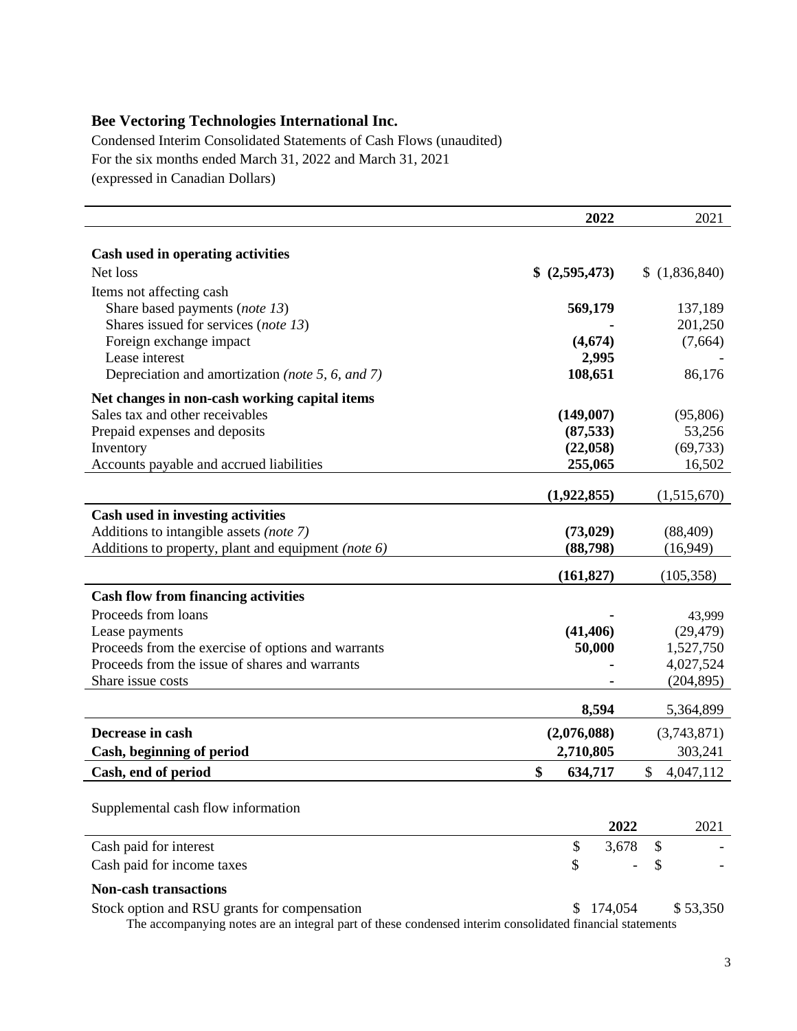Condensed Interim Consolidated Statements of Cash Flows (unaudited) For the six months ended March 31, 2022 and March 31, 2021 (expressed in Canadian Dollars)

|                                                     | 2022           | 2021            |
|-----------------------------------------------------|----------------|-----------------|
| Cash used in operating activities                   |                |                 |
| Net loss                                            | \$ (2,595,473) | (1,836,840)     |
| Items not affecting cash                            |                |                 |
| Share based payments (note 13)                      | 569,179        | 137,189         |
| Shares issued for services (note 13)                |                | 201,250         |
| Foreign exchange impact                             | (4,674)        | (7,664)         |
| Lease interest                                      | 2,995          |                 |
| Depreciation and amortization (note 5, 6, and 7)    | 108,651        | 86,176          |
| Net changes in non-cash working capital items       |                |                 |
| Sales tax and other receivables                     | (149,007)      | (95,806)        |
| Prepaid expenses and deposits                       | (87, 533)      | 53,256          |
| Inventory                                           | (22,058)       | (69, 733)       |
| Accounts payable and accrued liabilities            | 255,065        | 16,502          |
|                                                     | (1,922,855)    | (1,515,670)     |
| Cash used in investing activities                   |                |                 |
| Additions to intangible assets (note 7)             | (73, 029)      | (88, 409)       |
| Additions to property, plant and equipment (note 6) | (88,798)       | (16,949)        |
|                                                     | (161, 827)     | (105, 358)      |
| <b>Cash flow from financing activities</b>          |                |                 |
| Proceeds from loans                                 |                | 43,999          |
| Lease payments                                      | (41, 406)      | (29, 479)       |
| Proceeds from the exercise of options and warrants  | 50,000         | 1,527,750       |
| Proceeds from the issue of shares and warrants      |                | 4,027,524       |
| Share issue costs                                   |                | (204, 895)      |
|                                                     | 8,594          | 5,364,899       |
|                                                     |                |                 |
| Decrease in cash                                    | (2,076,088)    | (3,743,871)     |
| Cash, beginning of period                           | 2,710,805      | 303,241         |
| Cash, end of period                                 | \$<br>634,717  | \$<br>4,047,112 |
|                                                     |                |                 |
| Supplemental cash flow information                  |                |                 |
|                                                     | 2022           | 2021            |
| Cash paid for interest                              | \$<br>3,678    | \$              |
| Cash paid for income taxes                          | \$             | \$              |
| <b>Non-cash transactions</b>                        |                |                 |

Stock option and RSU grants for compensation  $$ 174,054$   $$ 53,350$ The accompanying notes are an integral part of these condensed interim consolidated financial statements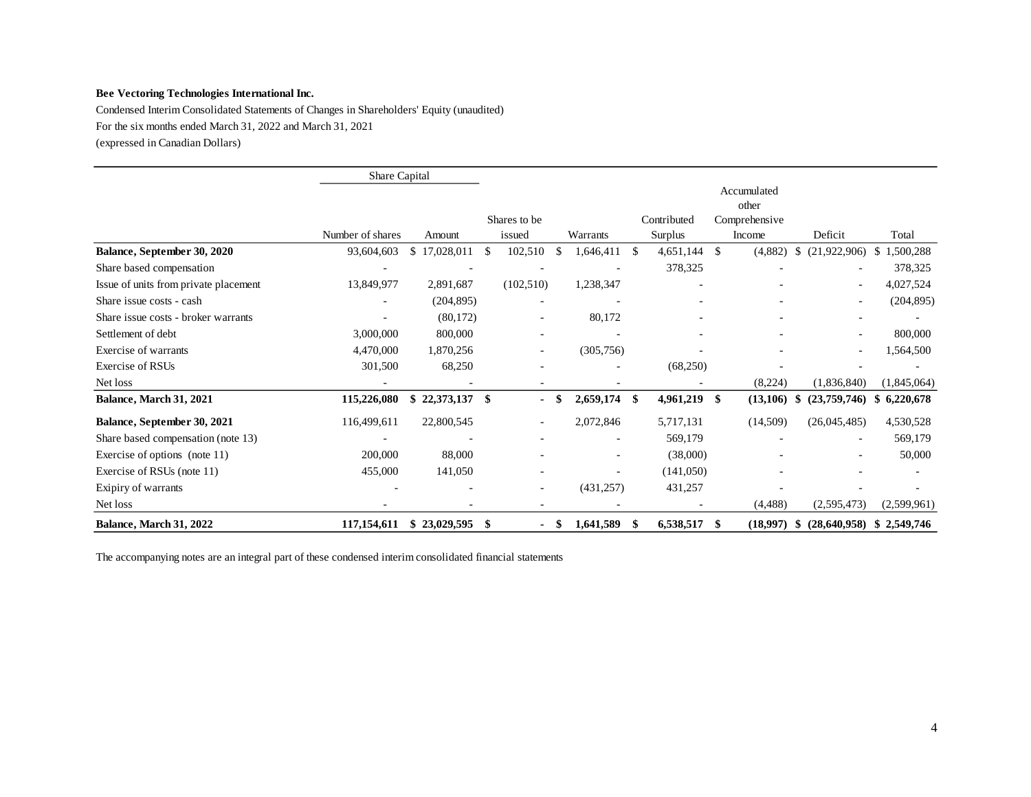Condensed Interim Consolidated Statements of Changes in Shareholders' Equity (unaudited) For the six months ended March 31, 2022 and March 31, 2021 (expressed in Canadian Dollars)

|                                       | Share Capital    |                          |    |                          |               |                          |               |             |     |               |     |                          |                 |
|---------------------------------------|------------------|--------------------------|----|--------------------------|---------------|--------------------------|---------------|-------------|-----|---------------|-----|--------------------------|-----------------|
|                                       |                  |                          |    |                          |               | Accumulated<br>other     |               |             |     |               |     |                          |                 |
|                                       |                  |                          |    | Shares to be             |               |                          |               | Contributed |     | Comprehensive |     |                          |                 |
|                                       | Number of shares | Amount                   |    | issued                   |               | Warrants                 |               | Surplus     |     | Income        |     | Deficit                  | Total           |
| Balance, September 30, 2020           | 93,604,603       | \$17,028,011             | \$ | 102,510                  | $\mathbf{\$}$ | 1,646,411                | <sup>\$</sup> | 4,651,144   | S.  | (4,882)       | \$  | (21,922,906)             | 1,500,288<br>\$ |
| Share based compensation              |                  |                          |    |                          |               |                          |               | 378,325     |     |               |     |                          | 378,325         |
| Issue of units from private placement | 13,849,977       | 2,891,687                |    | (102, 510)               |               | 1,238,347                |               |             |     |               |     |                          | 4,027,524       |
| Share issue costs - cash              |                  | (204, 895)               |    |                          |               |                          |               |             |     |               |     |                          | (204, 895)      |
| Share issue costs - broker warrants   |                  | (80,172)                 |    | $\overline{\phantom{a}}$ |               | 80,172                   |               |             |     |               |     | $\overline{\phantom{a}}$ |                 |
| Settlement of debt                    | 3,000,000        | 800,000                  |    |                          |               | $\overline{\phantom{a}}$ |               |             |     |               |     |                          | 800,000         |
| Exercise of warrants                  | 4,470,000        | 1,870,256                |    |                          |               | (305, 756)               |               |             |     |               |     |                          | 1,564,500       |
| Exercise of RSUs                      | 301,500          | 68,250                   |    |                          |               | ٠                        |               | (68,250)    |     |               |     |                          |                 |
| Net loss                              |                  | $\overline{\phantom{a}}$ |    | $\overline{\phantom{0}}$ |               | ٠                        |               |             |     | (8,224)       |     | (1,836,840)              | (1,845,064)     |
| <b>Balance, March 31, 2021</b>        | 115,226,080      | 22,373,137               | S  |                          | -\$           | 2,659,174                | S             | 4,961,219   | -\$ | (13,106)      | S   | (23,759,746)             | 6,220,678<br>S. |
| Balance, September 30, 2021           | 116,499,611      | 22,800,545               |    | $\blacksquare$           |               | 2,072,846                |               | 5,717,131   |     | (14,509)      |     | (26,045,485)             | 4,530,528       |
| Share based compensation (note 13)    |                  |                          |    |                          |               |                          |               | 569,179     |     |               |     |                          | 569,179         |
| Exercise of options (note 11)         | 200,000          | 88,000                   |    |                          |               | ٠                        |               | (38,000)    |     |               |     |                          | 50,000          |
| Exercise of RSUs (note 11)            | 455,000          | 141,050                  |    |                          |               | $\blacksquare$           |               | (141,050)   |     |               |     |                          |                 |
| Exipiry of warrants                   |                  |                          |    | ٠                        |               | (431, 257)               |               | 431,257     |     |               |     |                          |                 |
| Net loss                              |                  |                          |    |                          |               |                          |               |             |     | (4, 488)      |     | (2,595,473)              | (2,599,961)     |
| <b>Balance, March 31, 2022</b>        | 117,154,611      | \$23,029,595             | S  |                          | -\$           | 1,641,589                | S             | 6,538,517   | S.  | (18,997)      | SS. | (28, 640, 958)           | \$2,549,746     |

The accompanying notes are an integral part of these condensed interim consolidated financial statements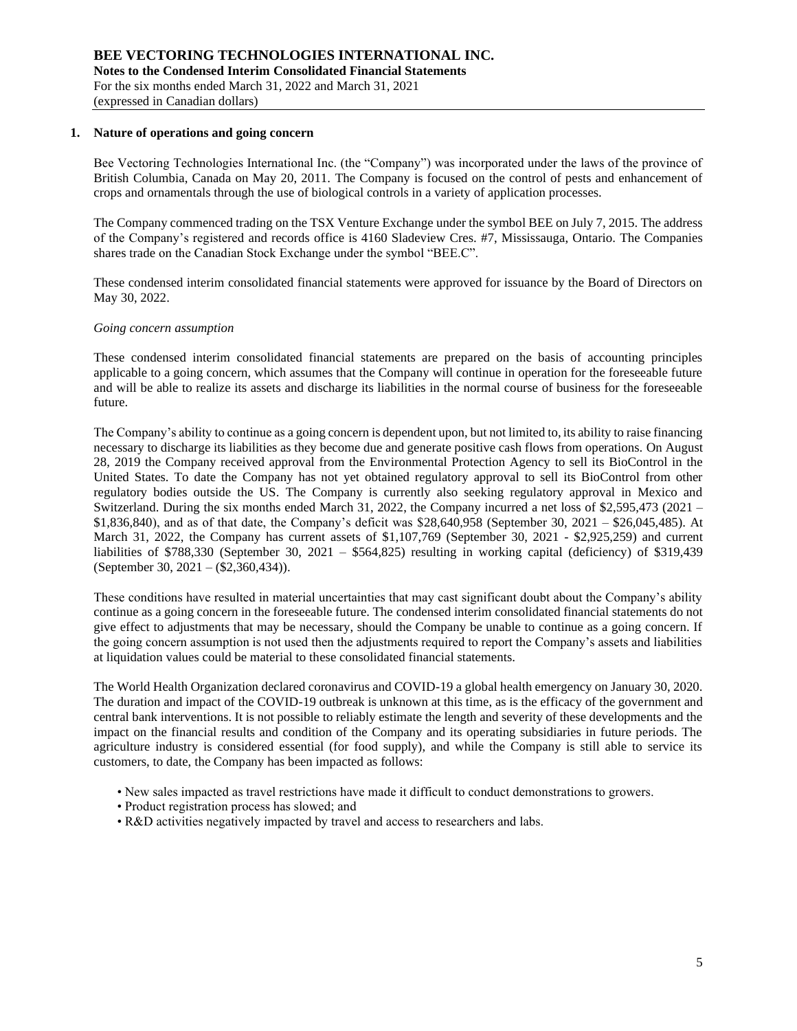### **1. Nature of operations and going concern**

Bee Vectoring Technologies International Inc. (the "Company") was incorporated under the laws of the province of British Columbia, Canada on May 20, 2011. The Company is focused on the control of pests and enhancement of crops and ornamentals through the use of biological controls in a variety of application processes.

The Company commenced trading on the TSX Venture Exchange under the symbol BEE on July 7, 2015. The address of the Company's registered and records office is 4160 Sladeview Cres. #7, Mississauga, Ontario. The Companies shares trade on the Canadian Stock Exchange under the symbol "BEE.C".

These condensed interim consolidated financial statements were approved for issuance by the Board of Directors on May 30, 2022.

### *Going concern assumption*

These condensed interim consolidated financial statements are prepared on the basis of accounting principles applicable to a going concern, which assumes that the Company will continue in operation for the foreseeable future and will be able to realize its assets and discharge its liabilities in the normal course of business for the foreseeable future.

The Company's ability to continue as a going concern is dependent upon, but not limited to, its ability to raise financing necessary to discharge its liabilities as they become due and generate positive cash flows from operations. On August 28, 2019 the Company received approval from the Environmental Protection Agency to sell its BioControl in the United States. To date the Company has not yet obtained regulatory approval to sell its BioControl from other regulatory bodies outside the US. The Company is currently also seeking regulatory approval in Mexico and Switzerland. During the six months ended March 31, 2022, the Company incurred a net loss of \$2,595,473 (2021 – \$1,836,840), and as of that date, the Company's deficit was \$28,640,958 (September 30, 2021 – \$26,045,485). At March 31, 2022, the Company has current assets of \$1,107,769 (September 30, 2021 - \$2,925,259) and current liabilities of \$788,330 (September 30, 2021 – \$564,825) resulting in working capital (deficiency) of \$319,439 (September 30, 2021 – (\$2,360,434)).

These conditions have resulted in material uncertainties that may cast significant doubt about the Company's ability continue as a going concern in the foreseeable future. The condensed interim consolidated financial statements do not give effect to adjustments that may be necessary, should the Company be unable to continue as a going concern. If the going concern assumption is not used then the adjustments required to report the Company's assets and liabilities at liquidation values could be material to these consolidated financial statements.

The World Health Organization declared coronavirus and COVID-19 a global health emergency on January 30, 2020. The duration and impact of the COVID-19 outbreak is unknown at this time, as is the efficacy of the government and central bank interventions. It is not possible to reliably estimate the length and severity of these developments and the impact on the financial results and condition of the Company and its operating subsidiaries in future periods. The agriculture industry is considered essential (for food supply), and while the Company is still able to service its customers, to date, the Company has been impacted as follows:

- New sales impacted as travel restrictions have made it difficult to conduct demonstrations to growers.
- Product registration process has slowed; and
- R&D activities negatively impacted by travel and access to researchers and labs.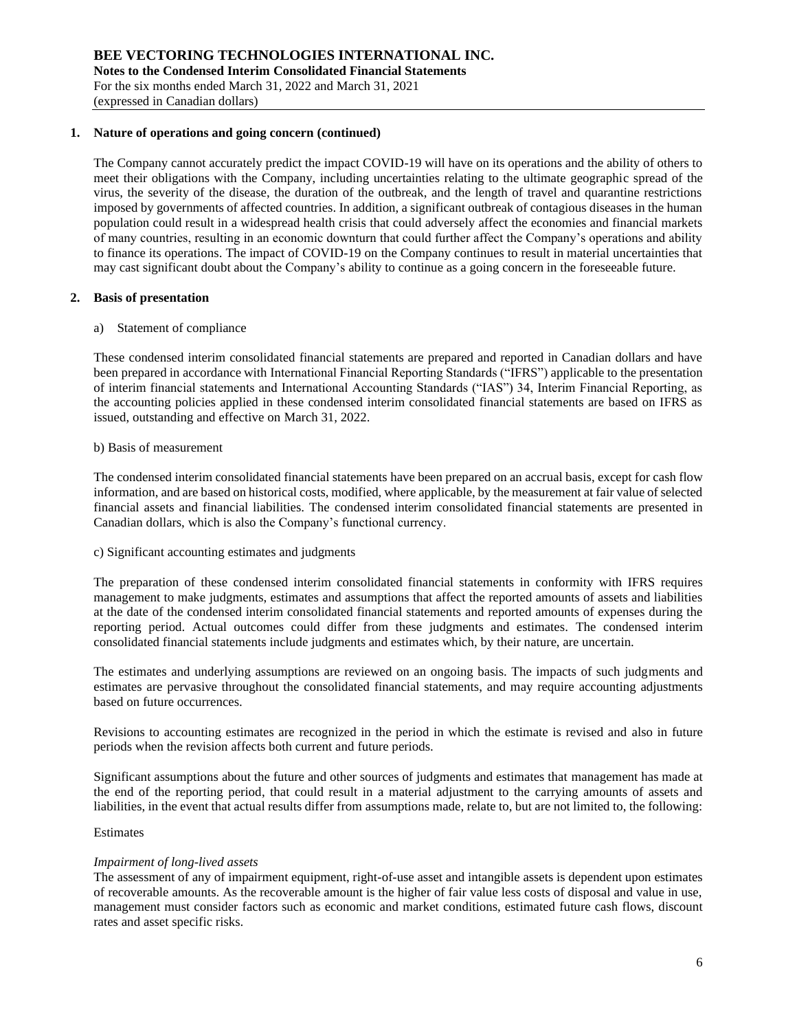### **1. Nature of operations and going concern (continued)**

The Company cannot accurately predict the impact COVID-19 will have on its operations and the ability of others to meet their obligations with the Company, including uncertainties relating to the ultimate geographic spread of the virus, the severity of the disease, the duration of the outbreak, and the length of travel and quarantine restrictions imposed by governments of affected countries. In addition, a significant outbreak of contagious diseases in the human population could result in a widespread health crisis that could adversely affect the economies and financial markets of many countries, resulting in an economic downturn that could further affect the Company's operations and ability to finance its operations. The impact of COVID-19 on the Company continues to result in material uncertainties that may cast significant doubt about the Company's ability to continue as a going concern in the foreseeable future.

## **2. Basis of presentation**

### a) Statement of compliance

These condensed interim consolidated financial statements are prepared and reported in Canadian dollars and have been prepared in accordance with International Financial Reporting Standards ("IFRS") applicable to the presentation of interim financial statements and International Accounting Standards ("IAS") 34, Interim Financial Reporting, as the accounting policies applied in these condensed interim consolidated financial statements are based on IFRS as issued, outstanding and effective on March 31, 2022.

## b) Basis of measurement

The condensed interim consolidated financial statements have been prepared on an accrual basis, except for cash flow information, and are based on historical costs, modified, where applicable, by the measurement at fair value of selected financial assets and financial liabilities. The condensed interim consolidated financial statements are presented in Canadian dollars, which is also the Company's functional currency.

c) Significant accounting estimates and judgments

The preparation of these condensed interim consolidated financial statements in conformity with IFRS requires management to make judgments, estimates and assumptions that affect the reported amounts of assets and liabilities at the date of the condensed interim consolidated financial statements and reported amounts of expenses during the reporting period. Actual outcomes could differ from these judgments and estimates. The condensed interim consolidated financial statements include judgments and estimates which, by their nature, are uncertain.

The estimates and underlying assumptions are reviewed on an ongoing basis. The impacts of such judgments and estimates are pervasive throughout the consolidated financial statements, and may require accounting adjustments based on future occurrences.

Revisions to accounting estimates are recognized in the period in which the estimate is revised and also in future periods when the revision affects both current and future periods.

Significant assumptions about the future and other sources of judgments and estimates that management has made at the end of the reporting period, that could result in a material adjustment to the carrying amounts of assets and liabilities, in the event that actual results differ from assumptions made, relate to, but are not limited to, the following:

### Estimates

### *Impairment of long-lived assets*

The assessment of any of impairment equipment, right-of-use asset and intangible assets is dependent upon estimates of recoverable amounts. As the recoverable amount is the higher of fair value less costs of disposal and value in use, management must consider factors such as economic and market conditions, estimated future cash flows, discount rates and asset specific risks.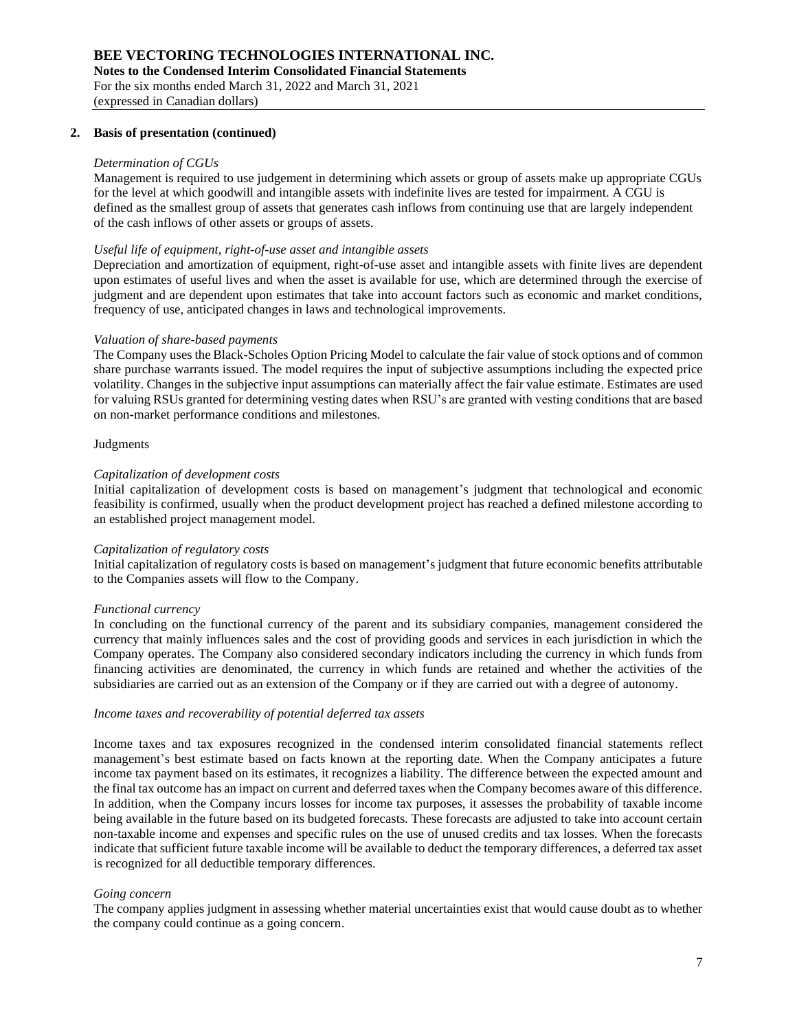### **2. Basis of presentation (continued)**

### *Determination of CGUs*

Management is required to use judgement in determining which assets or group of assets make up appropriate CGUs for the level at which goodwill and intangible assets with indefinite lives are tested for impairment. A CGU is defined as the smallest group of assets that generates cash inflows from continuing use that are largely independent of the cash inflows of other assets or groups of assets.

### *Useful life of equipment, right-of-use asset and intangible assets*

Depreciation and amortization of equipment, right-of-use asset and intangible assets with finite lives are dependent upon estimates of useful lives and when the asset is available for use, which are determined through the exercise of judgment and are dependent upon estimates that take into account factors such as economic and market conditions, frequency of use, anticipated changes in laws and technological improvements.

### *Valuation of share-based payments*

The Company uses the Black-Scholes Option Pricing Model to calculate the fair value of stock options and of common share purchase warrants issued. The model requires the input of subjective assumptions including the expected price volatility. Changes in the subjective input assumptions can materially affect the fair value estimate. Estimates are used for valuing RSUs granted for determining vesting dates when RSU's are granted with vesting conditions that are based on non-market performance conditions and milestones.

### Judgments

## *Capitalization of development costs*

Initial capitalization of development costs is based on management's judgment that technological and economic feasibility is confirmed, usually when the product development project has reached a defined milestone according to an established project management model.

#### *Capitalization of regulatory costs*

Initial capitalization of regulatory costs is based on management's judgment that future economic benefits attributable to the Companies assets will flow to the Company.

### *Functional currency*

In concluding on the functional currency of the parent and its subsidiary companies, management considered the currency that mainly influences sales and the cost of providing goods and services in each jurisdiction in which the Company operates. The Company also considered secondary indicators including the currency in which funds from financing activities are denominated, the currency in which funds are retained and whether the activities of the subsidiaries are carried out as an extension of the Company or if they are carried out with a degree of autonomy.

#### *Income taxes and recoverability of potential deferred tax assets*

Income taxes and tax exposures recognized in the condensed interim consolidated financial statements reflect management's best estimate based on facts known at the reporting date. When the Company anticipates a future income tax payment based on its estimates, it recognizes a liability. The difference between the expected amount and the final tax outcome has an impact on current and deferred taxes when the Company becomes aware of this difference. In addition, when the Company incurs losses for income tax purposes, it assesses the probability of taxable income being available in the future based on its budgeted forecasts. These forecasts are adjusted to take into account certain non-taxable income and expenses and specific rules on the use of unused credits and tax losses. When the forecasts indicate that sufficient future taxable income will be available to deduct the temporary differences, a deferred tax asset is recognized for all deductible temporary differences.

### *Going concern*

The company applies judgment in assessing whether material uncertainties exist that would cause doubt as to whether the company could continue as a going concern.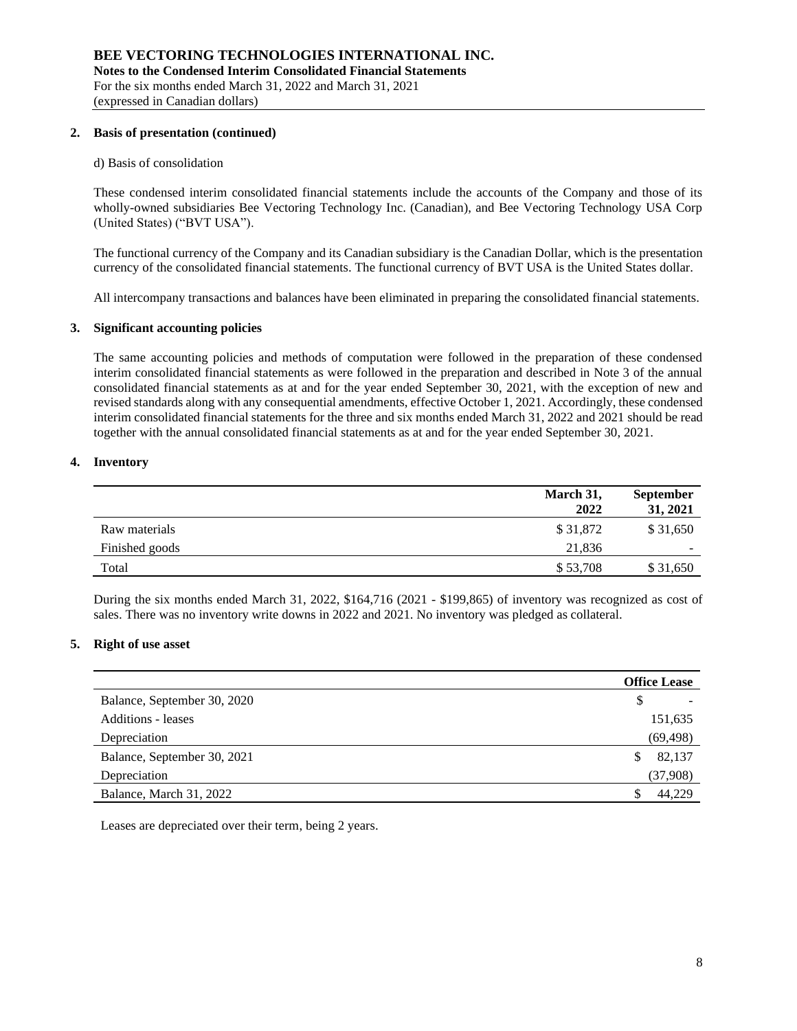### **2. Basis of presentation (continued)**

### d) Basis of consolidation

These condensed interim consolidated financial statements include the accounts of the Company and those of its wholly-owned subsidiaries Bee Vectoring Technology Inc. (Canadian), and Bee Vectoring Technology USA Corp (United States) ("BVT USA").

The functional currency of the Company and its Canadian subsidiary is the Canadian Dollar, which is the presentation currency of the consolidated financial statements. The functional currency of BVT USA is the United States dollar.

All intercompany transactions and balances have been eliminated in preparing the consolidated financial statements.

### **3. Significant accounting policies**

The same accounting policies and methods of computation were followed in the preparation of these condensed interim consolidated financial statements as were followed in the preparation and described in Note 3 of the annual consolidated financial statements as at and for the year ended September 30, 2021, with the exception of new and revised standards along with any consequential amendments, effective October 1, 2021. Accordingly, these condensed interim consolidated financial statements for the three and six months ended March 31, 2022 and 2021 should be read together with the annual consolidated financial statements as at and for the year ended September 30, 2021.

## **4. Inventory**

|                | March 31,<br>2022 | September<br>31, 2021 |
|----------------|-------------------|-----------------------|
| Raw materials  | \$31,872          | \$31,650              |
| Finished goods | 21.836            | ۰                     |
| Total          | \$53,708          | \$31,650              |

During the six months ended March 31, 2022, \$164,716 (2021 - \$199,865) of inventory was recognized as cost of sales. There was no inventory write downs in 2022 and 2021. No inventory was pledged as collateral.

## **5. Right of use asset**

|                             | <b>Office Lease</b> |
|-----------------------------|---------------------|
| Balance, September 30, 2020 |                     |
| <b>Additions - leases</b>   | 151,635             |
| Depreciation                | (69, 498)           |
| Balance, September 30, 2021 | 82,137<br>S         |
| Depreciation                | (37,908)            |
| Balance, March 31, 2022     | 44.229              |

Leases are depreciated over their term, being 2 years.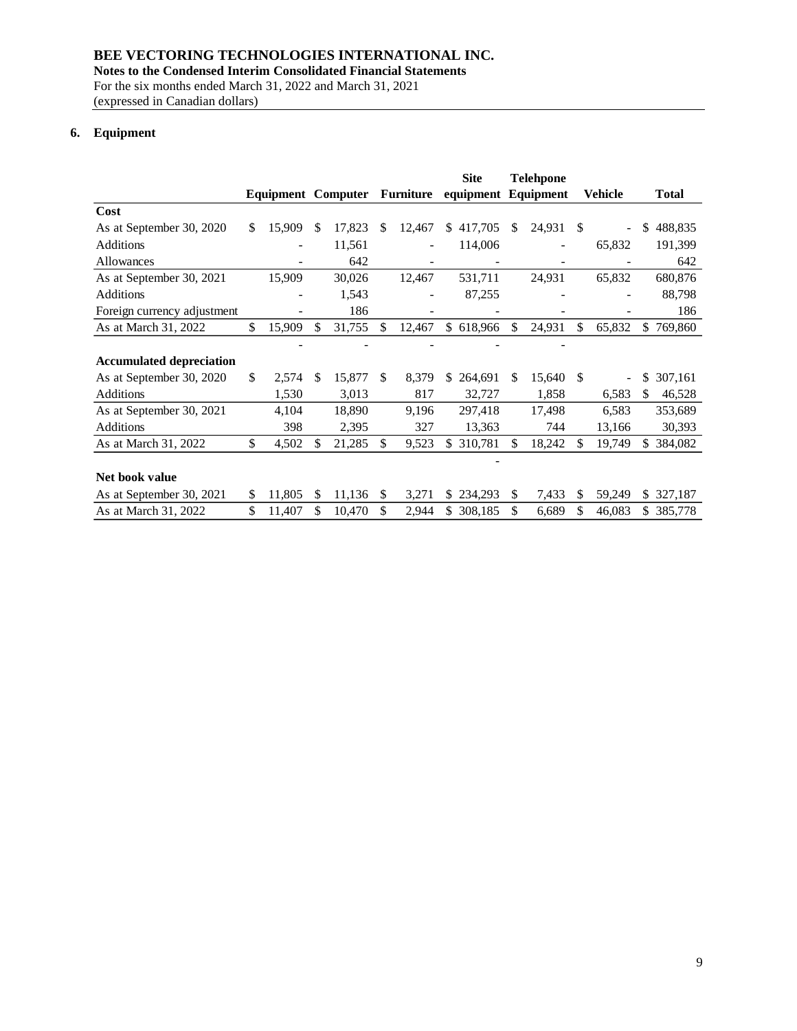# **BEE VECTORING TECHNOLOGIES INTERNATIONAL INC.**

**Notes to the Condensed Interim Consolidated Financial Statements**

For the six months ended March 31, 2022 and March 31, 2021 (expressed in Canadian dollars)

# **6. Equipment**

|                                 |                           |     |        |     |           | <b>Site</b><br><b>Telehpone</b> |            |     |                     |     |         |     |              |
|---------------------------------|---------------------------|-----|--------|-----|-----------|---------------------------------|------------|-----|---------------------|-----|---------|-----|--------------|
|                                 | <b>Equipment Computer</b> |     |        |     | Furniture |                                 |            |     | equipment Equipment |     | Vehicle |     | <b>Total</b> |
| Cost                            |                           |     |        |     |           |                                 |            |     |                     |     |         |     |              |
| As at September 30, 2020        | \$<br>15,909              | \$. | 17,823 | \$. | 12,467    | \$                              | 417,705    | \$  | 24,931              | -S  |         | \$  | 488,835      |
| <b>Additions</b>                |                           |     | 11,561 |     |           |                                 | 114,006    |     |                     |     | 65,832  |     | 191,399      |
| Allowances                      |                           |     | 642    |     |           |                                 |            |     |                     |     |         |     | 642          |
| As at September 30, 2021        | 15,909                    |     | 30,026 |     | 12,467    |                                 | 531,711    |     | 24,931              |     | 65,832  |     | 680,876      |
| Additions                       |                           |     | 1,543  |     |           |                                 | 87,255     |     |                     |     |         |     | 88,798       |
| Foreign currency adjustment     |                           |     | 186    |     | ۰         |                                 |            |     |                     |     |         |     | 186          |
| As at March 31, 2022            | \$<br>15,909              | \$  | 31,755 | \$  | 12,467    |                                 | \$ 618,966 | \$  | 24,931              | \$  | 65,832  | \$. | 769,860      |
|                                 |                           |     |        |     |           |                                 |            |     |                     |     |         |     |              |
| <b>Accumulated depreciation</b> |                           |     |        |     |           |                                 |            |     |                     |     |         |     |              |
| As at September 30, 2020        | \$<br>2,574               | \$. | 15,877 | \$. | 8,379     | \$.                             | 264,691    | \$. | 15,640              | \$. |         | \$  | 307,161      |
| <b>Additions</b>                | 1,530                     |     | 3,013  |     | 817       |                                 | 32,727     |     | 1,858               |     | 6,583   | S.  | 46,528       |
| As at September 30, 2021        | 4,104                     |     | 18,890 |     | 9,196     |                                 | 297,418    |     | 17,498              |     | 6,583   |     | 353,689      |
| <b>Additions</b>                | 398                       |     | 2,395  |     | 327       |                                 | 13,363     |     | 744                 |     | 13,166  |     | 30,393       |
| As at March 31, 2022            | \$<br>4,502               | \$  | 21,285 | S.  | 9,523     | S.                              | 310,781    |     | 18,242              | S.  | 19,749  | S.  | 384,082      |
|                                 |                           |     |        |     |           |                                 |            |     |                     |     |         |     |              |
| Net book value                  |                           |     |        |     |           |                                 |            |     |                     |     |         |     |              |
| As at September 30, 2021        | \$<br>11,805              | \$. | 11,136 | \$. | 3,271     | \$                              | 234,293    | \$  | 7,433               | S   | 59,249  | S.  | 327,187      |
| As at March 31, 2022            | \$<br>11,407              | \$  | 10,470 | \$  | 2,944     | \$                              | 308,185    | \$  | 6,689               | \$  | 46,083  | \$  | 385,778      |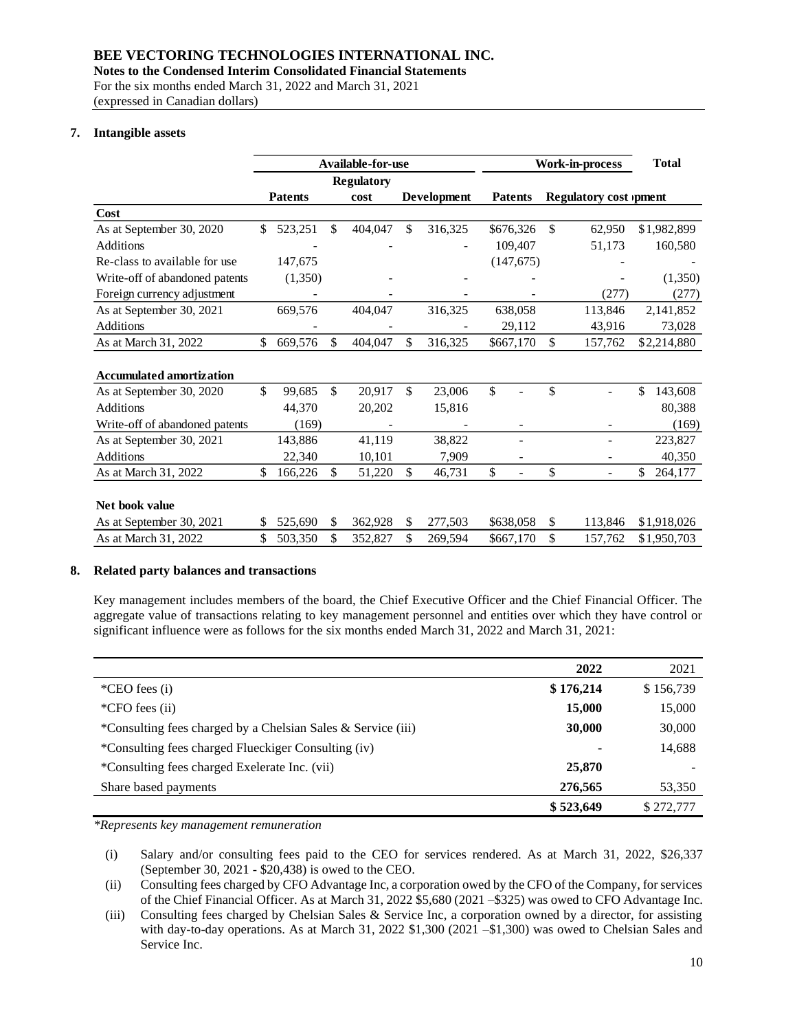## **BEE VECTORING TECHNOLOGIES INTERNATIONAL INC.**

**Notes to the Condensed Interim Consolidated Financial Statements**

For the six months ended March 31, 2022 and March 31, 2021 (expressed in Canadian dollars)

# **7. Intangible assets**

|                                                                                                                                                                                                                                                                                                                                          |                | Available-for-use |                           |             | <b>Work-in-process</b> |                |    | <b>Total</b>                  |               |
|------------------------------------------------------------------------------------------------------------------------------------------------------------------------------------------------------------------------------------------------------------------------------------------------------------------------------------------|----------------|-------------------|---------------------------|-------------|------------------------|----------------|----|-------------------------------|---------------|
|                                                                                                                                                                                                                                                                                                                                          |                | <b>Regulatory</b> |                           |             |                        |                |    |                               |               |
|                                                                                                                                                                                                                                                                                                                                          | <b>Patents</b> | cost              |                           | Development |                        | <b>Patents</b> |    | <b>Regulatory cost )pment</b> |               |
| Cost                                                                                                                                                                                                                                                                                                                                     |                |                   |                           |             |                        |                |    |                               |               |
| As at September 30, 2020                                                                                                                                                                                                                                                                                                                 | \$<br>523,251  | \$<br>404,047     | \$                        | 316,325     |                        | \$676,326      | \$ | 62,950                        | \$1,982,899   |
| Additions                                                                                                                                                                                                                                                                                                                                |                |                   |                           |             |                        | 109,407        |    | 51,173                        | 160,580       |
| Re-class to available for use                                                                                                                                                                                                                                                                                                            | 147,675        |                   |                           |             |                        | (147, 675)     |    |                               |               |
| Write-off of abandoned patents                                                                                                                                                                                                                                                                                                           | (1,350)        |                   |                           |             |                        |                |    |                               | (1, 350)      |
| Foreign currency adjustment                                                                                                                                                                                                                                                                                                              |                |                   |                           |             |                        |                |    | (277)                         | (277)         |
| As at September 30, 2021                                                                                                                                                                                                                                                                                                                 | 669,576        | 404,047           |                           | 316,325     |                        | 638,058        |    | 113,846                       | 2,141,852     |
| Additions                                                                                                                                                                                                                                                                                                                                |                |                   |                           |             |                        | 29,112         |    | 43,916                        | 73,028        |
| As at March 31, 2022                                                                                                                                                                                                                                                                                                                     | \$<br>669,576  | \$<br>404,047     | \$                        | 316,325     |                        | \$667,170      | \$ | 157,762                       | \$2,214,880   |
| <b>Accumulated amortization</b>                                                                                                                                                                                                                                                                                                          |                |                   |                           |             |                        |                |    |                               |               |
| As at September 30, 2020                                                                                                                                                                                                                                                                                                                 | \$<br>99,685   | \$<br>20,917      | \$                        | 23,006      | \$                     | $\overline{a}$ | \$ | $\overline{\phantom{a}}$      | \$<br>143,608 |
| Additions                                                                                                                                                                                                                                                                                                                                | 44,370         | 20,202            |                           | 15,816      |                        |                |    |                               | 80,388        |
| Write-off of abandoned patents                                                                                                                                                                                                                                                                                                           | (169)          |                   |                           |             |                        |                |    |                               | (169)         |
| As at September 30, 2021                                                                                                                                                                                                                                                                                                                 | 143,886        | 41,119            |                           | 38,822      |                        |                |    |                               | 223,827       |
| Additions                                                                                                                                                                                                                                                                                                                                | 22,340         | 10,101            |                           | 7,909       |                        |                |    |                               | 40,350        |
| As at March 31, 2022                                                                                                                                                                                                                                                                                                                     | \$<br>166,226  | \$<br>51,220      | $\boldsymbol{\mathsf{S}}$ | 46,731      | \$                     |                | \$ |                               | \$<br>264,177 |
| Net book value<br>As at September 30, 2021                                                                                                                                                                                                                                                                                               | \$<br>525,690  | \$<br>362,928     | \$                        | 277,503     |                        | \$638,058      | \$ | 113,846                       | \$1,918,026   |
| As at March 31, 2022                                                                                                                                                                                                                                                                                                                     | \$<br>503,350  | \$<br>352,827     | \$                        | 269,594     |                        | \$667,170      | \$ | 157,762                       | \$1,950,703   |
| Key management includes members of the board, the Chief Executive Officer and the Chief Financial Officer. The<br>aggregate value of transactions relating to key management personnel and entities over which they have control or<br>significant influence were as follows for the six months ended March 31, 2022 and March 31, 2021: |                |                   |                           |             |                        |                |    |                               |               |
|                                                                                                                                                                                                                                                                                                                                          |                |                   |                           |             |                        |                |    | 2022                          | 2021          |
| *CEO fees (i)                                                                                                                                                                                                                                                                                                                            |                |                   |                           |             |                        |                |    | \$176,214                     | \$156,739     |
| *CFO fees (ii)                                                                                                                                                                                                                                                                                                                           |                |                   |                           |             |                        |                |    | 15,000                        | 15,000        |
| *Consulting fees charged by a Chelsian Sales & Service (iii)                                                                                                                                                                                                                                                                             |                |                   |                           |             |                        |                |    | 30,000                        | 30,000        |
| *Consulting fees charged Flueckiger Consulting (iv)                                                                                                                                                                                                                                                                                      |                |                   |                           |             |                        |                |    |                               | 14,688        |
| *Consulting fees charged Exelerate Inc. (vii)                                                                                                                                                                                                                                                                                            |                |                   |                           |             |                        |                |    | 25,870                        |               |
| Share based payments                                                                                                                                                                                                                                                                                                                     |                |                   |                           |             |                        |                |    | 276,565                       | 53,350        |
|                                                                                                                                                                                                                                                                                                                                          |                |                   |                           |             |                        |                |    | \$523,649                     | \$272,777     |
| *Represents key management remuneration                                                                                                                                                                                                                                                                                                  |                |                   |                           |             |                        |                |    |                               |               |
| Salary and/or consulting fees paid to the CEO for services rendered. As at March 31, 2022, \$26,337<br>(i)<br>(September 30, 2021 - \$20,438) is owed to the CEO.                                                                                                                                                                        |                |                   |                           |             |                        |                |    |                               |               |
| Consulting fees charged by CFO Advantage Inc, a corporation owed by the CFO of the Company, for services<br>(ii)<br>of the Chief Financial Officer. As at March 31, 2022 \$5,680 (2021 - \$325) was owed to CFO Advantage Inc.                                                                                                           |                |                   |                           |             |                        |                |    |                               |               |
| Consulting fees charged by Chelsian Sales & Service Inc, a corporation owned by a director, for assisting<br>(iii)<br>with day-to-day operations. As at March 31, 2022 $$1,300$ (2021 - $$1,300$ ) was owed to Chelsian Sales and<br>Service Inc.                                                                                        |                |                   |                           |             |                        |                |    |                               |               |

## **8. Related party balances and transactions**

|                                                              | 2022      | 2021      |
|--------------------------------------------------------------|-----------|-----------|
| ${}^*$ CEO fees (i)                                          | \$176,214 | \$156,739 |
| *CFO fees (ii)                                               | 15,000    | 15,000    |
| *Consulting fees charged by a Chelsian Sales & Service (iii) | 30,000    | 30,000    |
| *Consulting fees charged Flueckiger Consulting (iv)          |           | 14,688    |
| *Consulting fees charged Exelerate Inc. (vii)                | 25,870    |           |
| Share based payments                                         | 276,565   | 53,350    |
|                                                              | \$523,649 | \$272,777 |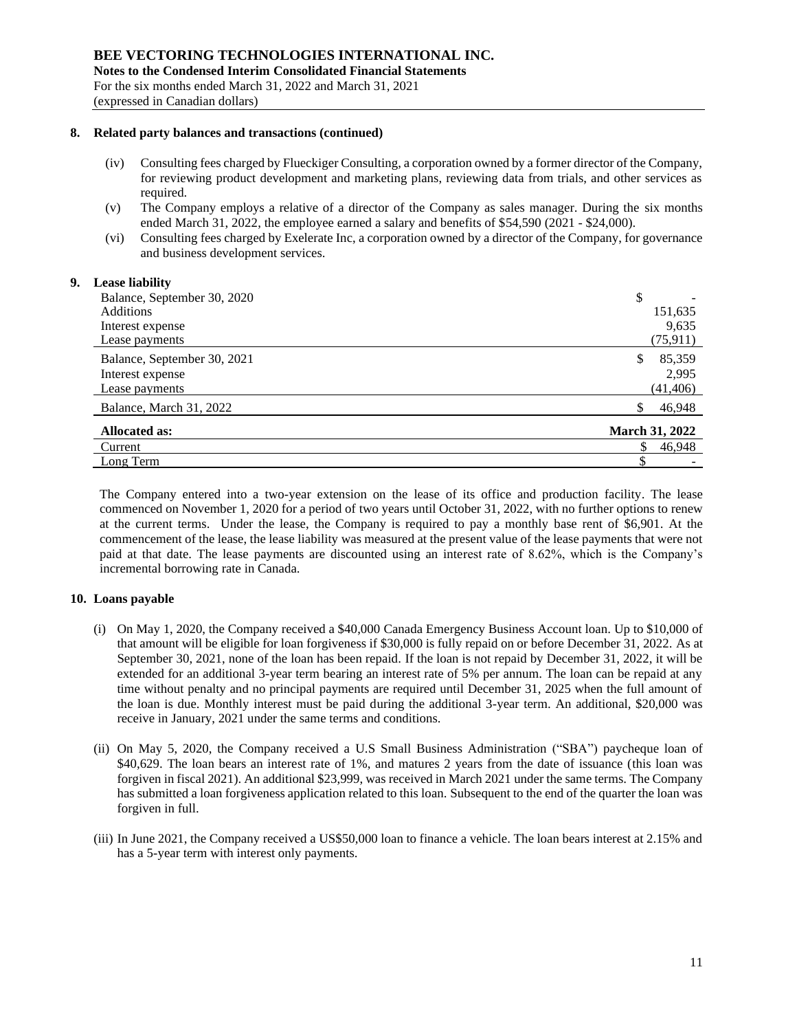### **8. Related party balances and transactions (continued)**

- (iv) Consulting fees charged by Flueckiger Consulting, a corporation owned by a former director of the Company, for reviewing product development and marketing plans, reviewing data from trials, and other services as required.
- (v) The Company employs a relative of a director of the Company as sales manager. During the six months ended March 31, 2022, the employee earned a salary and benefits of \$54,590 (2021 - \$24,000).
- (vi) Consulting fees charged by Exelerate Inc, a corporation owned by a director of the Company, for governance and business development services.

### **9. Lease liability**

| <br>Balance, September 30, 2020 | \$                    |
|---------------------------------|-----------------------|
| <b>Additions</b>                | 151,635               |
| Interest expense                | 9,635                 |
| Lease payments                  | (75, 911)             |
| Balance, September 30, 2021     | 85,359<br>S           |
| Interest expense                | 2.995                 |
| Lease payments                  | (41, 406)             |
| Balance, March 31, 2022         | 46,948<br>S           |
| <b>Allocated as:</b>            | <b>March 31, 2022</b> |
| Current                         | 46,948                |
| Long Term                       |                       |

The Company entered into a two-year extension on the lease of its office and production facility. The lease commenced on November 1, 2020 for a period of two years until October 31, 2022, with no further options to renew at the current terms. Under the lease, the Company is required to pay a monthly base rent of \$6,901. At the commencement of the lease, the lease liability was measured at the present value of the lease payments that were not paid at that date. The lease payments are discounted using an interest rate of 8.62%, which is the Company's incremental borrowing rate in Canada.

### **10. Loans payable**

- (i) On May 1, 2020, the Company received a \$40,000 Canada Emergency Business Account loan. Up to \$10,000 of that amount will be eligible for loan forgiveness if \$30,000 is fully repaid on or before December 31, 2022. As at September 30, 2021, none of the loan has been repaid. If the loan is not repaid by December 31, 2022, it will be extended for an additional 3-year term bearing an interest rate of 5% per annum. The loan can be repaid at any time without penalty and no principal payments are required until December 31, 2025 when the full amount of the loan is due. Monthly interest must be paid during the additional 3-year term. An additional, \$20,000 was receive in January, 2021 under the same terms and conditions.
- (ii) On May 5, 2020, the Company received a U.S Small Business Administration ("SBA") paycheque loan of \$40,629. The loan bears an interest rate of 1%, and matures 2 years from the date of issuance (this loan was forgiven in fiscal 2021). An additional \$23,999, was received in March 2021 under the same terms. The Company has submitted a loan forgiveness application related to this loan. Subsequent to the end of the quarter the loan was forgiven in full.
- (iii) In June 2021, the Company received a US\$50,000 loan to finance a vehicle. The loan bears interest at 2.15% and has a 5-year term with interest only payments.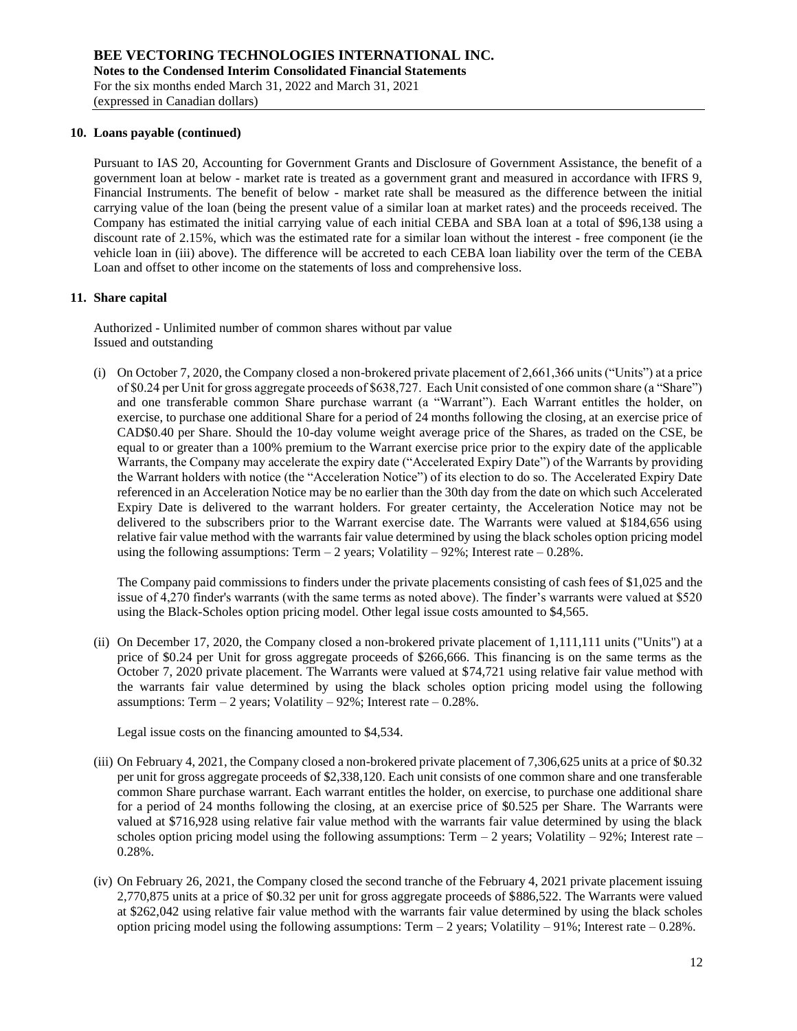### **10. Loans payable (continued)**

Pursuant to IAS 20, Accounting for Government Grants and Disclosure of Government Assistance, the benefit of a government loan at below - market rate is treated as a government grant and measured in accordance with IFRS 9, Financial Instruments. The benefit of below - market rate shall be measured as the difference between the initial carrying value of the loan (being the present value of a similar loan at market rates) and the proceeds received. The Company has estimated the initial carrying value of each initial CEBA and SBA loan at a total of \$96,138 using a discount rate of 2.15%, which was the estimated rate for a similar loan without the interest - free component (ie the vehicle loan in (iii) above). The difference will be accreted to each CEBA loan liability over the term of the CEBA Loan and offset to other income on the statements of loss and comprehensive loss.

### **11. Share capital**

Authorized - Unlimited number of common shares without par value Issued and outstanding

(i) On October 7, 2020, the Company closed a non-brokered private placement of 2,661,366 units ("Units") at a price of \$0.24 per Unit for gross aggregate proceeds of \$638,727. Each Unit consisted of one common share (a "Share") and one transferable common Share purchase warrant (a "Warrant"). Each Warrant entitles the holder, on exercise, to purchase one additional Share for a period of 24 months following the closing, at an exercise price of CAD\$0.40 per Share. Should the 10-day volume weight average price of the Shares, as traded on the CSE, be equal to or greater than a 100% premium to the Warrant exercise price prior to the expiry date of the applicable Warrants, the Company may accelerate the expiry date ("Accelerated Expiry Date") of the Warrants by providing the Warrant holders with notice (the "Acceleration Notice") of its election to do so. The Accelerated Expiry Date referenced in an Acceleration Notice may be no earlier than the 30th day from the date on which such Accelerated Expiry Date is delivered to the warrant holders. For greater certainty, the Acceleration Notice may not be delivered to the subscribers prior to the Warrant exercise date. The Warrants were valued at \$184,656 using relative fair value method with the warrants fair value determined by using the black scholes option pricing model using the following assumptions: Term  $-2$  years; Volatility  $-92\%$ ; Interest rate  $-0.28\%$ .

The Company paid commissions to finders under the private placements consisting of cash fees of \$1,025 and the issue of 4,270 finder's warrants (with the same terms as noted above). The finder's warrants were valued at \$520 using the Black-Scholes option pricing model. Other legal issue costs amounted to \$4,565.

(ii) On December 17, 2020, the Company closed a non-brokered private placement of 1,111,111 units ("Units") at a price of \$0.24 per Unit for gross aggregate proceeds of \$266,666. This financing is on the same terms as the October 7, 2020 private placement. The Warrants were valued at \$74,721 using relative fair value method with the warrants fair value determined by using the black scholes option pricing model using the following assumptions: Term  $-2$  years; Volatility  $-92\%$ ; Interest rate  $-0.28\%$ .

Legal issue costs on the financing amounted to \$4,534.

- (iii) On February 4, 2021, the Company closed a non-brokered private placement of 7,306,625 units at a price of \$0.32 per unit for gross aggregate proceeds of \$2,338,120. Each unit consists of one common share and one transferable common Share purchase warrant. Each warrant entitles the holder, on exercise, to purchase one additional share for a period of 24 months following the closing, at an exercise price of \$0.525 per Share. The Warrants were valued at \$716,928 using relative fair value method with the warrants fair value determined by using the black scholes option pricing model using the following assumptions: Term  $-2$  years; Volatility  $-92\%$ ; Interest rate  $-$ 0.28%.
- (iv) On February 26, 2021, the Company closed the second tranche of the February 4, 2021 private placement issuing 2,770,875 units at a price of \$0.32 per unit for gross aggregate proceeds of \$886,522. The Warrants were valued at \$262,042 using relative fair value method with the warrants fair value determined by using the black scholes option pricing model using the following assumptions: Term – 2 years; Volatility – 91%; Interest rate – 0.28%.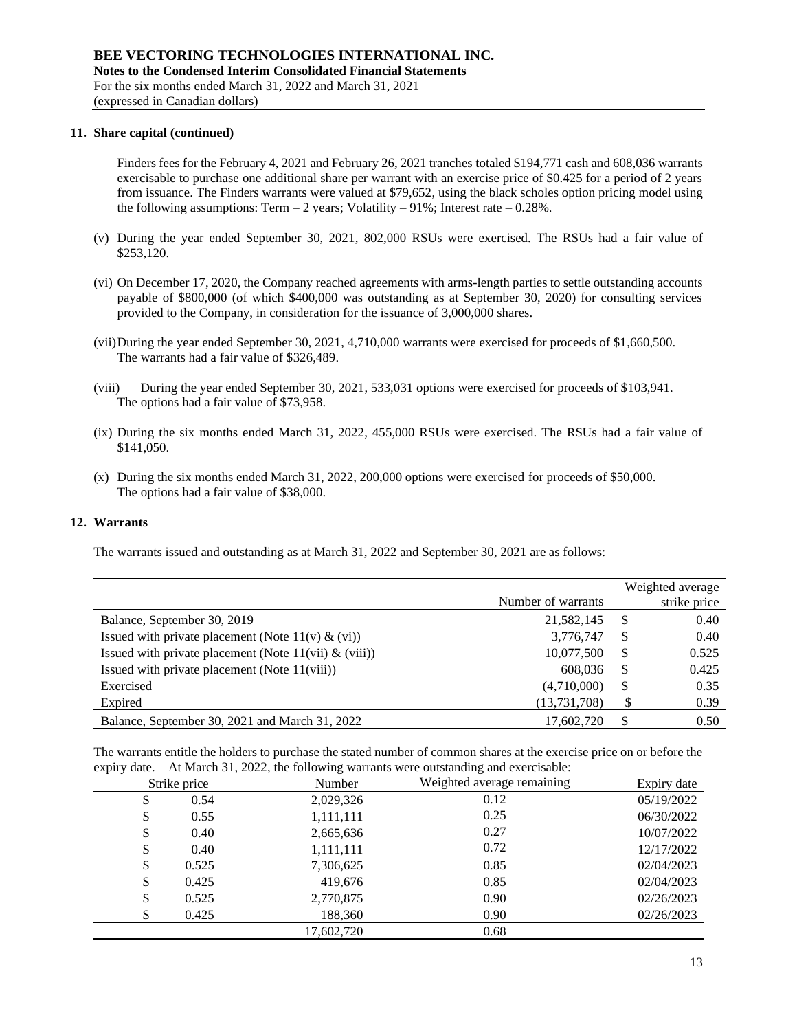### **11. Share capital (continued)**

Finders fees for the February 4, 2021 and February 26, 2021 tranches totaled \$194,771 cash and 608,036 warrants exercisable to purchase one additional share per warrant with an exercise price of \$0.425 for a period of 2 years from issuance. The Finders warrants were valued at \$79,652, using the black scholes option pricing model using the following assumptions: Term  $-2$  years; Volatility  $-91\%$ ; Interest rate  $-0.28\%$ .

- (v) During the year ended September 30, 2021, 802,000 RSUs were exercised. The RSUs had a fair value of \$253,120.
- (vi) On December 17, 2020, the Company reached agreements with arms-length parties to settle outstanding accounts payable of \$800,000 (of which \$400,000 was outstanding as at September 30, 2020) for consulting services provided to the Company, in consideration for the issuance of 3,000,000 shares.
- (vii)During the year ended September 30, 2021, 4,710,000 warrants were exercised for proceeds of \$1,660,500. The warrants had a fair value of \$326,489.
- (viii) During the year ended September 30, 2021, 533,031 options were exercised for proceeds of \$103,941. The options had a fair value of \$73,958.
- (ix) During the six months ended March 31, 2022, 455,000 RSUs were exercised. The RSUs had a fair value of \$141,050.
- (x) During the six months ended March 31, 2022, 200,000 options were exercised for proceeds of \$50,000. The options had a fair value of \$38,000.

### **12. Warrants**

The warrants issued and outstanding as at March 31, 2022 and September 30, 2021 are as follows:

|                                                           |                    |    | Weighted average |
|-----------------------------------------------------------|--------------------|----|------------------|
|                                                           | Number of warrants |    | strike price     |
| Balance, September 30, 2019                               | 21,582,145         | S  | 0.40             |
| Issued with private placement (Note $11(v) \& (vi)$ )     | 3,776,747          | \$ | 0.40             |
| Issued with private placement (Note $11(vii) \& (viii)$ ) | 10,077,500         | \$ | 0.525            |
| Issued with private placement (Note 11(viii))             | 608,036            | \$ | 0.425            |
| Exercised                                                 | (4,710,000)        | \$ | 0.35             |
| Expired                                                   | (13, 731, 708)     |    | 0.39             |
| Balance, September 30, 2021 and March 31, 2022            | 17,602,720         | \$ | 0.50             |

The warrants entitle the holders to purchase the stated number of common shares at the exercise price on or before the expiry date. At March 31, 2022, the following warrants were outstanding and exercisable:

| Strike price | Number     | Weighted average remaining | Expiry date |
|--------------|------------|----------------------------|-------------|
| \$<br>0.54   | 2,029,326  | 0.12                       | 05/19/2022  |
| \$<br>0.55   | 1,111,111  | 0.25                       | 06/30/2022  |
| \$<br>0.40   | 2,665,636  | 0.27                       | 10/07/2022  |
| \$<br>0.40   | 1,111,111  | 0.72                       | 12/17/2022  |
| \$<br>0.525  | 7,306,625  | 0.85                       | 02/04/2023  |
| \$<br>0.425  | 419,676    | 0.85                       | 02/04/2023  |
| \$<br>0.525  | 2,770,875  | 0.90                       | 02/26/2023  |
| \$<br>0.425  | 188,360    | 0.90                       | 02/26/2023  |
|              | 17,602,720 | 0.68                       |             |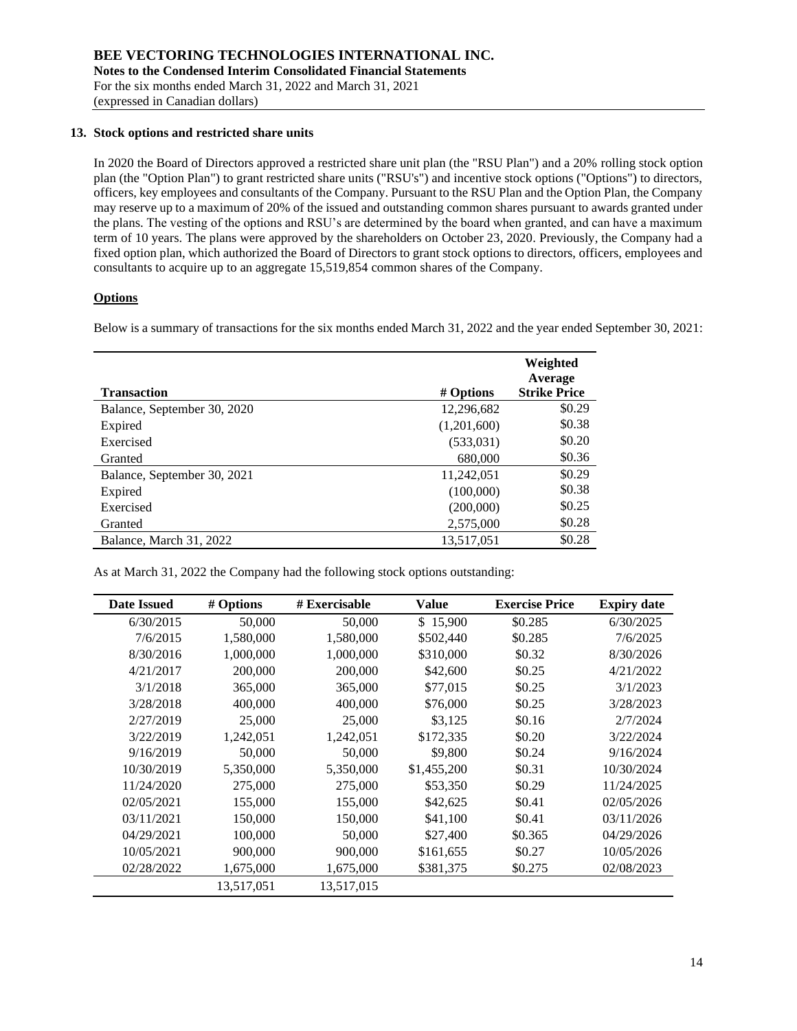## **13. Stock options and restricted share units**

In 2020 the Board of Directors approved a restricted share unit plan (the "RSU Plan") and a 20% rolling stock option plan (the "Option Plan") to grant restricted share units ("RSU's") and incentive stock options ("Options") to directors, officers, key employees and consultants of the Company. Pursuant to the RSU Plan and the Option Plan, the Company may reserve up to a maximum of 20% of the issued and outstanding common shares pursuant to awards granted under the plans. The vesting of the options and RSU's are determined by the board when granted, and can have a maximum term of 10 years. The plans were approved by the shareholders on October 23, 2020. Previously, the Company had a fixed option plan, which authorized the Board of Directors to grant stock options to directors, officers, employees and consultants to acquire up to an aggregate 15,519,854 common shares of the Company.

## **Options**

Below is a summary of transactions for the six months ended March 31, 2022 and the year ended September 30, 2021:

| <b>Transaction</b>          | # Options   | Weighted<br>Average<br><b>Strike Price</b> |
|-----------------------------|-------------|--------------------------------------------|
| Balance, September 30, 2020 | 12,296,682  | \$0.29                                     |
| Expired                     | (1,201,600) | \$0.38                                     |
| Exercised                   | (533,031)   | \$0.20                                     |
| Granted                     | 680,000     | \$0.36                                     |
| Balance, September 30, 2021 | 11,242,051  | \$0.29                                     |
| Expired                     | (100,000)   | \$0.38                                     |
| Exercised                   | (200,000)   | \$0.25                                     |
| Granted                     | 2,575,000   | \$0.28                                     |
| Balance, March 31, 2022     | 13,517,051  | \$0.28                                     |

As at March 31, 2022 the Company had the following stock options outstanding:

| <b>Date Issued</b> | # Options  | # Exercisable | Value       | <b>Exercise Price</b> | <b>Expiry date</b> |
|--------------------|------------|---------------|-------------|-----------------------|--------------------|
| 6/30/2015          | 50,000     | 50,000        | \$15,900    | \$0.285               | 6/30/2025          |
| 7/6/2015           | 1,580,000  | 1,580,000     | \$502,440   | \$0.285               | 7/6/2025           |
| 8/30/2016          | 1,000,000  | 1,000,000     | \$310,000   | \$0.32                | 8/30/2026          |
| 4/21/2017          | 200,000    | 200,000       | \$42,600    | \$0.25                | 4/21/2022          |
| 3/1/2018           | 365,000    | 365,000       | \$77,015    | \$0.25                | 3/1/2023           |
| 3/28/2018          | 400,000    | 400,000       | \$76,000    | \$0.25                | 3/28/2023          |
| 2/27/2019          | 25,000     | 25,000        | \$3,125     | \$0.16                | 2/7/2024           |
| 3/22/2019          | 1,242,051  | 1,242,051     | \$172,335   | \$0.20                | 3/22/2024          |
| 9/16/2019          | 50,000     | 50,000        | \$9,800     | \$0.24                | 9/16/2024          |
| 10/30/2019         | 5,350,000  | 5,350,000     | \$1,455,200 | \$0.31                | 10/30/2024         |
| 11/24/2020         | 275,000    | 275,000       | \$53,350    | \$0.29                | 11/24/2025         |
| 02/05/2021         | 155,000    | 155,000       | \$42,625    | \$0.41                | 02/05/2026         |
| 03/11/2021         | 150,000    | 150,000       | \$41,100    | \$0.41                | 03/11/2026         |
| 04/29/2021         | 100,000    | 50,000        | \$27,400    | \$0.365               | 04/29/2026         |
| 10/05/2021         | 900,000    | 900,000       | \$161,655   | \$0.27                | 10/05/2026         |
| 02/28/2022         | 1,675,000  | 1,675,000     | \$381,375   | \$0.275               | 02/08/2023         |
|                    | 13,517,051 | 13,517,015    |             |                       |                    |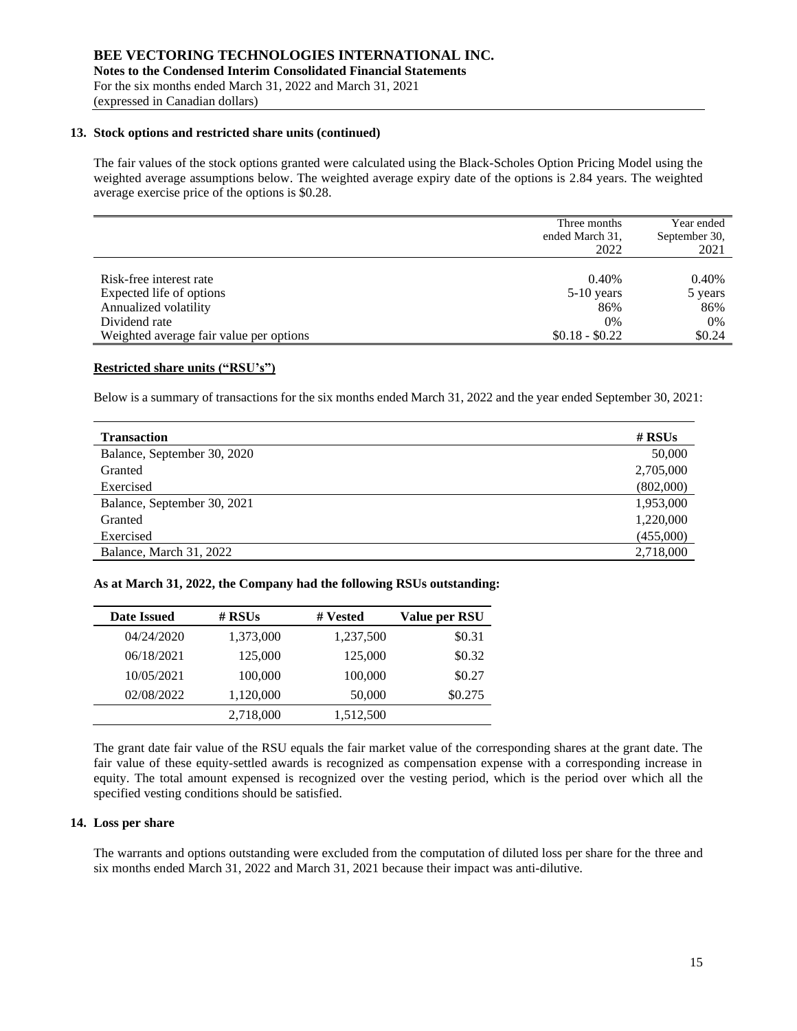### **13. Stock options and restricted share units (continued)**

The fair values of the stock options granted were calculated using the Black-Scholes Option Pricing Model using the weighted average assumptions below. The weighted average expiry date of the options is 2.84 years. The weighted average exercise price of the options is \$0.28.

|                                         | Three months<br>ended March 31,<br>2022 | Year ended<br>September 30,<br>2021 |
|-----------------------------------------|-----------------------------------------|-------------------------------------|
| Risk-free interest rate                 | 0.40%                                   | 0.40%                               |
| Expected life of options                | $5-10$ years                            | 5 years                             |
| Annualized volatility                   | 86%                                     | 86%                                 |
| Dividend rate                           | 0%                                      | 0%                                  |
| Weighted average fair value per options | $$0.18 - $0.22$$                        | \$0.24                              |

# **Restricted share units ("RSU's")**

Below is a summary of transactions for the six months ended March 31, 2022 and the year ended September 30, 2021:

| <b>Transaction</b>          | # $RSUs$  |
|-----------------------------|-----------|
| Balance, September 30, 2020 | 50,000    |
| Granted                     | 2,705,000 |
| Exercised                   | (802,000) |
| Balance, September 30, 2021 | 1,953,000 |
| Granted                     | 1,220,000 |
| Exercised                   | (455,000) |
| Balance, March 31, 2022     | 2,718,000 |

**As at March 31, 2022, the Company had the following RSUs outstanding:**

| Date Issued | # $RSUs$  | # Vested  | Value per RSU |
|-------------|-----------|-----------|---------------|
| 04/24/2020  | 1,373,000 | 1,237,500 | \$0.31        |
| 06/18/2021  | 125,000   | 125,000   | \$0.32        |
| 10/05/2021  | 100,000   | 100,000   | \$0.27        |
| 02/08/2022  | 1,120,000 | 50,000    | \$0.275       |
|             | 2,718,000 | 1,512,500 |               |

The grant date fair value of the RSU equals the fair market value of the corresponding shares at the grant date. The fair value of these equity-settled awards is recognized as compensation expense with a corresponding increase in equity. The total amount expensed is recognized over the vesting period, which is the period over which all the specified vesting conditions should be satisfied.

### **14. Loss per share**

The warrants and options outstanding were excluded from the computation of diluted loss per share for the three and six months ended March 31, 2022 and March 31, 2021 because their impact was anti-dilutive.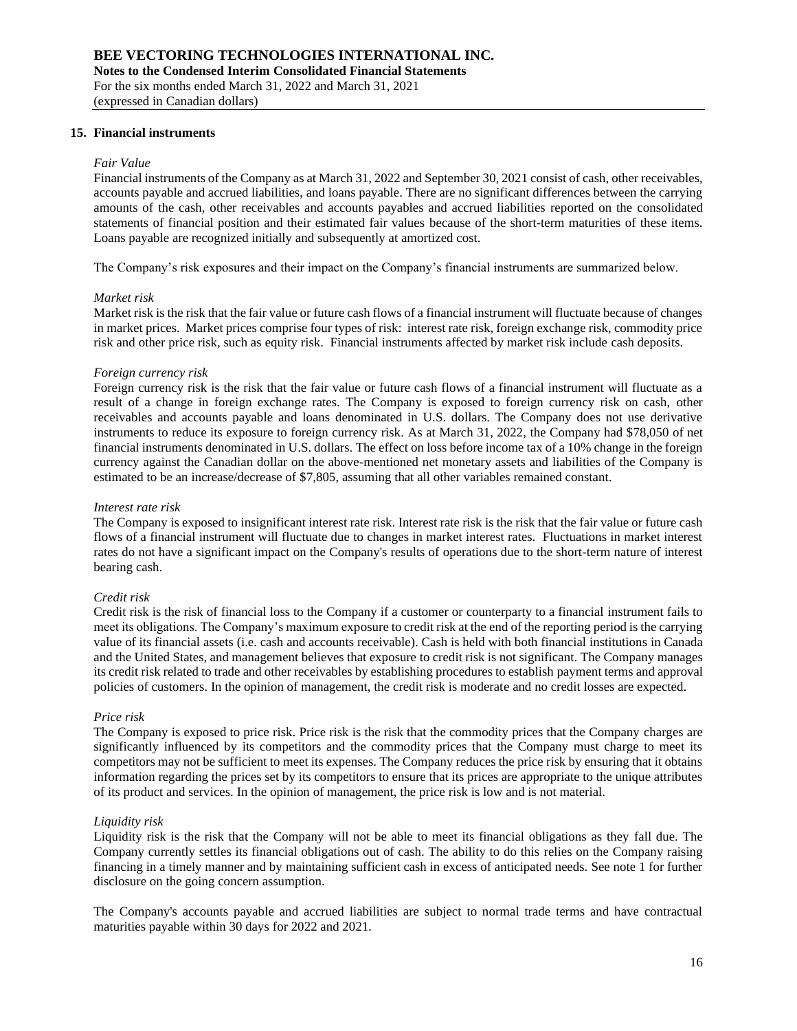### **15. Financial instruments**

#### *Fair Value*

Financial instruments of the Company as at March 31, 2022 and September 30, 2021 consist of cash, other receivables, accounts payable and accrued liabilities, and loans payable. There are no significant differences between the carrying amounts of the cash, other receivables and accounts payables and accrued liabilities reported on the consolidated statements of financial position and their estimated fair values because of the short-term maturities of these items. Loans payable are recognized initially and subsequently at amortized cost.

The Company's risk exposures and their impact on the Company's financial instruments are summarized below.

#### *Market risk*

Market risk is the risk that the fair value or future cash flows of a financial instrument will fluctuate because of changes in market prices. Market prices comprise four types of risk: interest rate risk, foreign exchange risk, commodity price risk and other price risk, such as equity risk. Financial instruments affected by market risk include cash deposits.

### *Foreign currency risk*

Foreign currency risk is the risk that the fair value or future cash flows of a financial instrument will fluctuate as a result of a change in foreign exchange rates. The Company is exposed to foreign currency risk on cash, other receivables and accounts payable and loans denominated in U.S. dollars. The Company does not use derivative instruments to reduce its exposure to foreign currency risk. As at March 31, 2022, the Company had \$78,050 of net financial instruments denominated in U.S. dollars. The effect on loss before income tax of a 10% change in the foreign currency against the Canadian dollar on the above-mentioned net monetary assets and liabilities of the Company is estimated to be an increase/decrease of \$7,805, assuming that all other variables remained constant.

#### *Interest rate risk*

The Company is exposed to insignificant interest rate risk. Interest rate risk is the risk that the fair value or future cash flows of a financial instrument will fluctuate due to changes in market interest rates. Fluctuations in market interest rates do not have a significant impact on the Company's results of operations due to the short-term nature of interest bearing cash.

#### *Credit risk*

Credit risk is the risk of financial loss to the Company if a customer or counterparty to a financial instrument fails to meet its obligations. The Company's maximum exposure to credit risk at the end of the reporting period is the carrying value of its financial assets (i.e. cash and accounts receivable). Cash is held with both financial institutions in Canada and the United States, and management believes that exposure to credit risk is not significant. The Company manages its credit risk related to trade and other receivables by establishing procedures to establish payment terms and approval policies of customers. In the opinion of management, the credit risk is moderate and no credit losses are expected.

#### *Price risk*

The Company is exposed to price risk. Price risk is the risk that the commodity prices that the Company charges are significantly influenced by its competitors and the commodity prices that the Company must charge to meet its competitors may not be sufficient to meet its expenses. The Company reduces the price risk by ensuring that it obtains information regarding the prices set by its competitors to ensure that its prices are appropriate to the unique attributes of its product and services. In the opinion of management, the price risk is low and is not material.

#### *Liquidity risk*

Liquidity risk is the risk that the Company will not be able to meet its financial obligations as they fall due. The Company currently settles its financial obligations out of cash. The ability to do this relies on the Company raising financing in a timely manner and by maintaining sufficient cash in excess of anticipated needs. See note 1 for further disclosure on the going concern assumption.

The Company's accounts payable and accrued liabilities are subject to normal trade terms and have contractual maturities payable within 30 days for 2022 and 2021.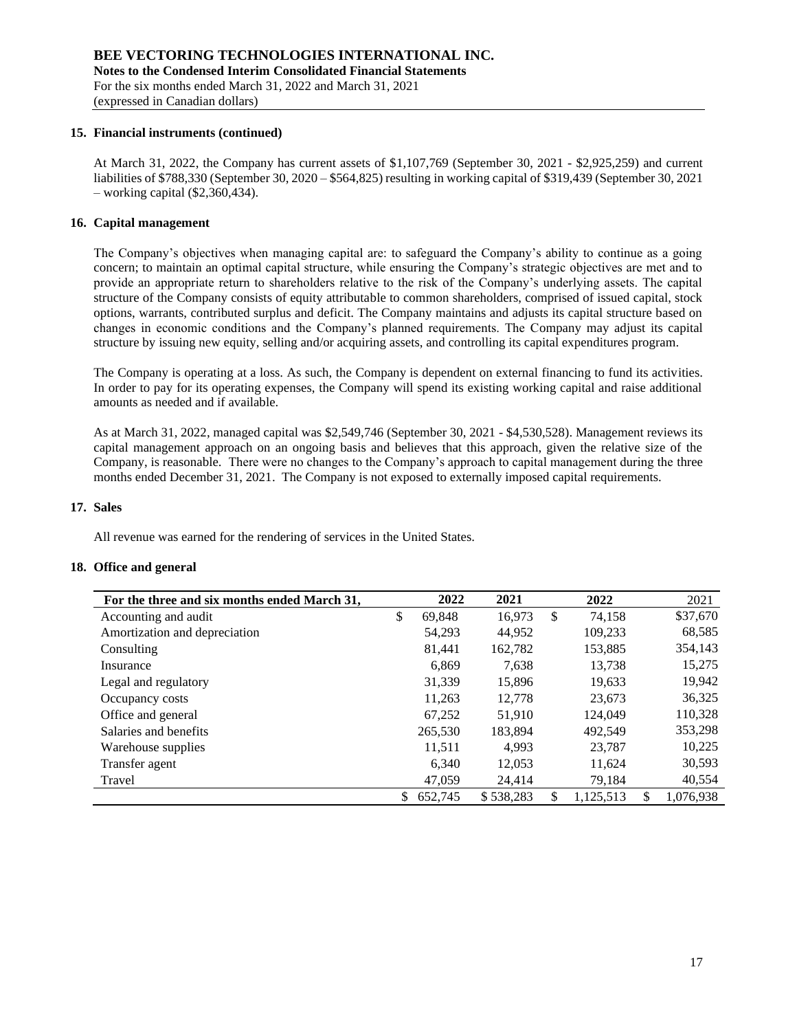### **15. Financial instruments (continued)**

At March 31, 2022, the Company has current assets of \$1,107,769 (September 30, 2021 - \$2,925,259) and current liabilities of \$788,330 (September 30, 2020 – \$564,825) resulting in working capital of \$319,439 (September 30, 2021 – working capital (\$2,360,434).

## **16. Capital management**

The Company's objectives when managing capital are: to safeguard the Company's ability to continue as a going concern; to maintain an optimal capital structure, while ensuring the Company's strategic objectives are met and to provide an appropriate return to shareholders relative to the risk of the Company's underlying assets. The capital structure of the Company consists of equity attributable to common shareholders, comprised of issued capital, stock options, warrants, contributed surplus and deficit. The Company maintains and adjusts its capital structure based on changes in economic conditions and the Company's planned requirements. The Company may adjust its capital structure by issuing new equity, selling and/or acquiring assets, and controlling its capital expenditures program.

The Company is operating at a loss. As such, the Company is dependent on external financing to fund its activities. In order to pay for its operating expenses, the Company will spend its existing working capital and raise additional amounts as needed and if available.

As at March 31, 2022, managed capital was \$2,549,746 (September 30, 2021 - \$4,530,528). Management reviews its capital management approach on an ongoing basis and believes that this approach, given the relative size of the Company, is reasonable. There were no changes to the Company's approach to capital management during the three months ended December 31, 2021. The Company is not exposed to externally imposed capital requirements.

### **17. Sales**

All revenue was earned for the rendering of services in the United States.

### **18. Office and general**

| For the three and six months ended March 31, |    | 2022    | 2021      |              | 2022      | 2021            |
|----------------------------------------------|----|---------|-----------|--------------|-----------|-----------------|
| Accounting and audit                         | \$ | 69.848  | 16,973    | $\mathbb{S}$ | 74.158    | \$37,670        |
| Amortization and depreciation                |    | 54,293  | 44,952    |              | 109,233   | 68,585          |
| Consulting                                   |    | 81,441  | 162,782   |              | 153,885   | 354,143         |
| Insurance                                    |    | 6,869   | 7,638     |              | 13,738    | 15,275          |
| Legal and regulatory                         |    | 31,339  | 15,896    |              | 19,633    | 19,942          |
| Occupancy costs                              |    | 11,263  | 12,778    |              | 23,673    | 36,325          |
| Office and general                           |    | 67,252  | 51,910    |              | 124,049   | 110,328         |
| Salaries and benefits                        |    | 265,530 | 183.894   |              | 492.549   | 353,298         |
| Warehouse supplies                           |    | 11,511  | 4,993     |              | 23,787    | 10,225          |
| Transfer agent                               |    | 6,340   | 12,053    |              | 11.624    | 30,593          |
| Travel                                       |    | 47,059  | 24.414    |              | 79.184    | 40,554          |
|                                              | S. | 652.745 | \$538.283 | S            | 1,125,513 | \$<br>1.076.938 |